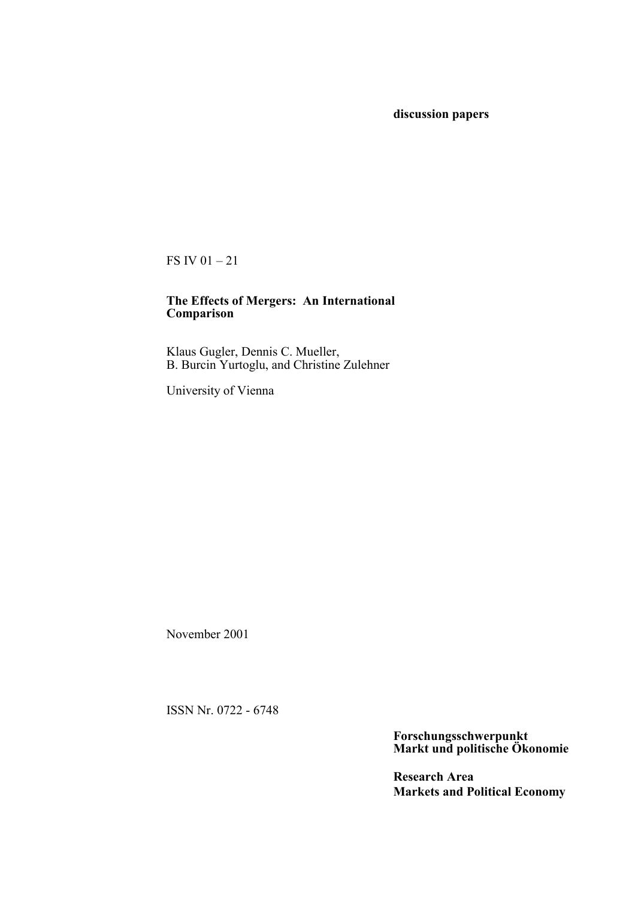**discussion papers**

FS IV  $01 - 21$ 

# **The Effects of Mergers: An International Comparison**

Klaus Gugler, Dennis C. Mueller, B. Burcin Yurtoglu, and Christine Zulehner

University of Vienna

November 2001

ISSN Nr. 0722 - 6748

 **Forschungsschwerpunkt Markt und politische Ökonomie** 

> **Research Area Markets and Political Economy**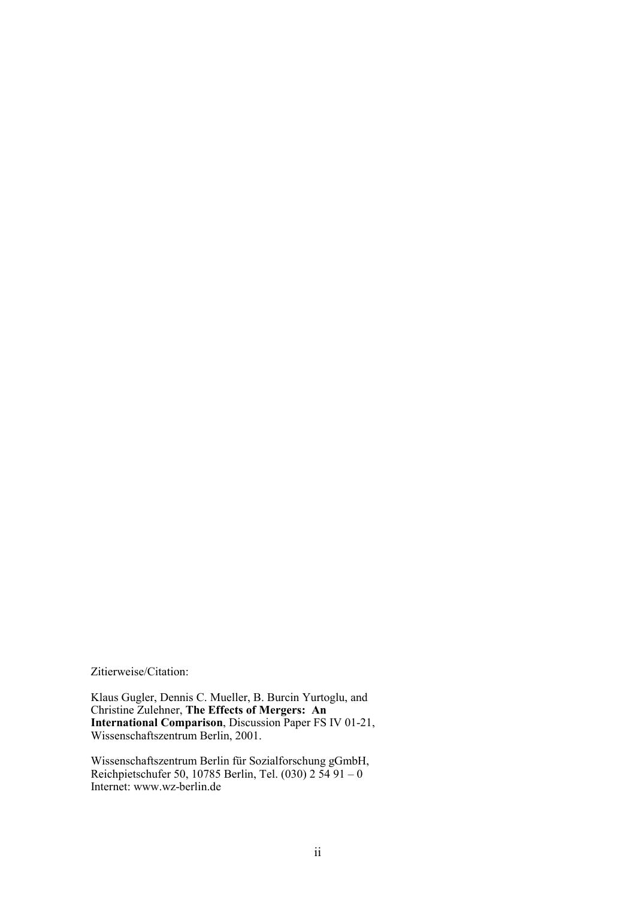Zitierweise/Citation:

Klaus Gugler, Dennis C. Mueller, B. Burcin Yurtoglu, and Christine Zulehner, **The Effects of Mergers: An International Comparison**, Discussion Paper FS IV 01-21, Wissenschaftszentrum Berlin, 2001.

Wissenschaftszentrum Berlin für Sozialforschung gGmbH, Reichpietschufer 50, 10785 Berlin, Tel.  $(030)$  2 54 91 - 0 Internet: www.wz-berlin.de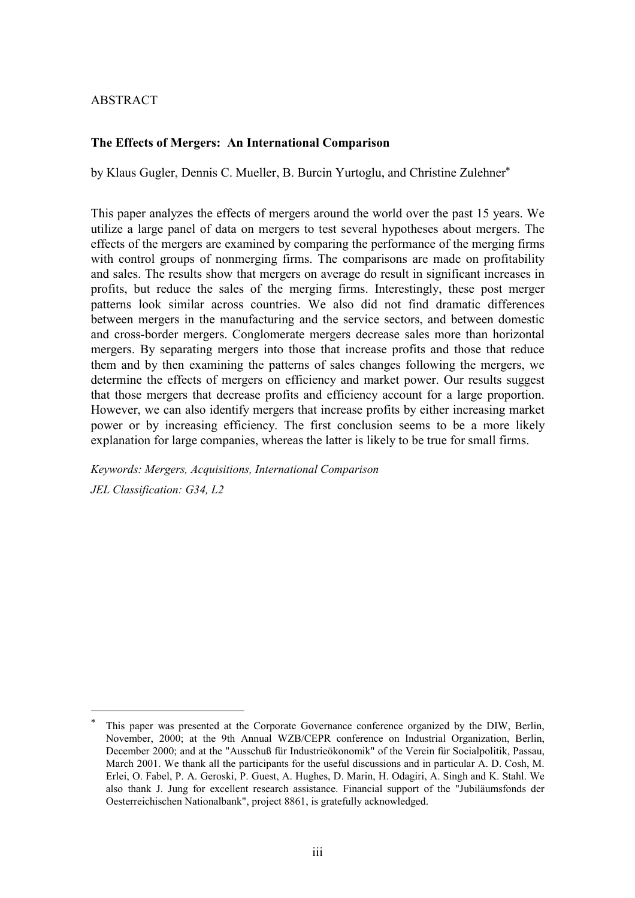# ABSTRACT

 $\overline{a}$ 

# **The Effects of Mergers: An International Comparison**

by Klaus Gugler, Dennis C. Mueller, B. Burcin Yurtoglu, and Christine Zulehner\*

This paper analyzes the effects of mergers around the world over the past 15 years. We utilize a large panel of data on mergers to test several hypotheses about mergers. The effects of the mergers are examined by comparing the performance of the merging firms with control groups of nonmerging firms. The comparisons are made on profitability and sales. The results show that mergers on average do result in significant increases in profits, but reduce the sales of the merging firms. Interestingly, these post merger patterns look similar across countries. We also did not find dramatic differences between mergers in the manufacturing and the service sectors, and between domestic and cross-border mergers. Conglomerate mergers decrease sales more than horizontal mergers. By separating mergers into those that increase profits and those that reduce them and by then examining the patterns of sales changes following the mergers, we determine the effects of mergers on efficiency and market power. Our results suggest that those mergers that decrease profits and efficiency account for a large proportion. However, we can also identify mergers that increase profits by either increasing market power or by increasing efficiency. The first conclusion seems to be a more likely explanation for large companies, whereas the latter is likely to be true for small firms.

*Keywords: Mergers, Acquisitions, International Comparison JEL Classification: G34, L2* 

This paper was presented at the Corporate Governance conference organized by the DIW, Berlin, November, 2000; at the 9th Annual WZB/CEPR conference on Industrial Organization, Berlin, December 2000; and at the "Ausschuß für Industrieökonomik" of the Verein für Socialpolitik, Passau, March 2001. We thank all the participants for the useful discussions and in particular A. D. Cosh, M. Erlei, O. Fabel, P. A. Geroski, P. Guest, A. Hughes, D. Marin, H. Odagiri, A. Singh and K. Stahl. We also thank J. Jung for excellent research assistance. Financial support of the "Jubiläumsfonds der Oesterreichischen Nationalbank", project 8861, is gratefully acknowledged.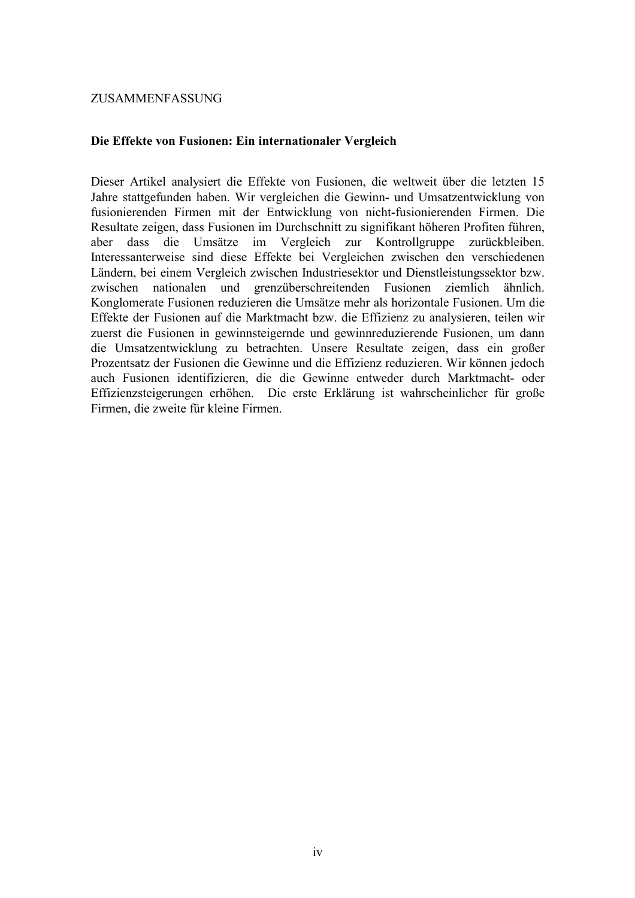## ZUSAMMENFASSUNG

# **Die Effekte von Fusionen: Ein internationaler Vergleich**

Dieser Artikel analysiert die Effekte von Fusionen, die weltweit über die letzten 15 Jahre stattgefunden haben. Wir vergleichen die Gewinn- und Umsatzentwicklung von fusionierenden Firmen mit der Entwicklung von nicht-fusionierenden Firmen. Die Resultate zeigen, dass Fusionen im Durchschnitt zu signifikant höheren Profiten führen, aber dass die Umsätze im Vergleich zur Kontrollgruppe zurückbleiben. Interessanterweise sind diese Effekte bei Vergleichen zwischen den verschiedenen L‰ndern, bei einem Vergleich zwischen Industriesektor und Dienstleistungssektor bzw. zwischen nationalen und grenzüberschreitenden Fusionen ziemlich ähnlich. Konglomerate Fusionen reduzieren die Umsätze mehr als horizontale Fusionen. Um die Effekte der Fusionen auf die Marktmacht bzw. die Effizienz zu analysieren, teilen wir zuerst die Fusionen in gewinnsteigernde und gewinnreduzierende Fusionen, um dann die Umsatzentwicklung zu betrachten. Unsere Resultate zeigen, dass ein grofler Prozentsatz der Fusionen die Gewinne und die Effizienz reduzieren. Wir können jedoch auch Fusionen identifizieren, die die Gewinne entweder durch Marktmacht- oder Effizienzsteigerungen erhöhen. Die erste Erklärung ist wahrscheinlicher für große Firmen, die zweite für kleine Firmen.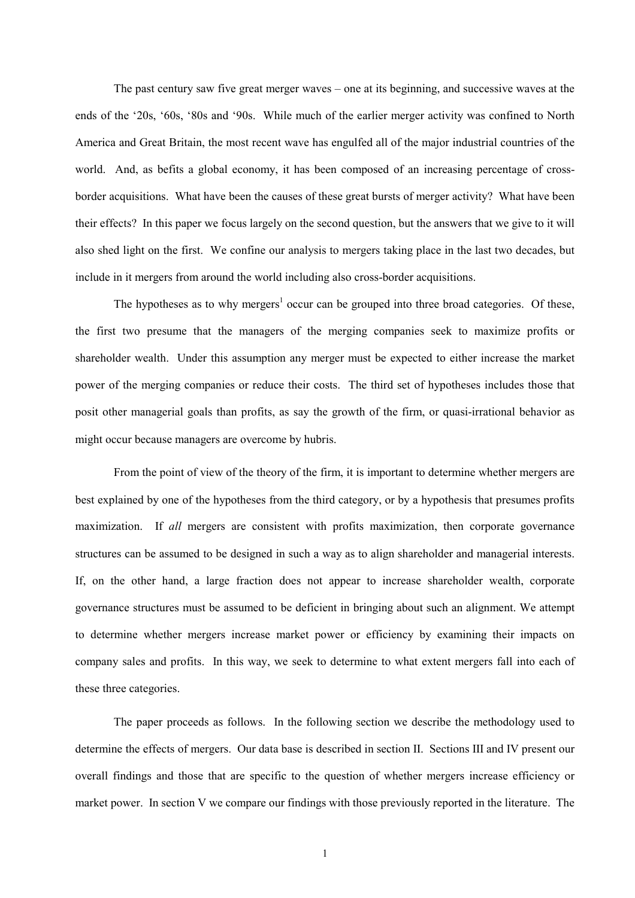The past century saw five great merger waves  $-$  one at its beginning, and successive waves at the ends of the '20s, '60s, '80s and '90s. While much of the earlier merger activity was confined to North America and Great Britain, the most recent wave has engulfed all of the major industrial countries of the world. And, as befits a global economy, it has been composed of an increasing percentage of crossborder acquisitions. What have been the causes of these great bursts of merger activity? What have been their effects? In this paper we focus largely on the second question, but the answers that we give to it will also shed light on the first. We confine our analysis to mergers taking place in the last two decades, but include in it mergers from around the world including also cross-border acquisitions.

The hypotheses as to why mergers<sup>1</sup> occur can be grouped into three broad categories. Of these, the first two presume that the managers of the merging companies seek to maximize profits or shareholder wealth. Under this assumption any merger must be expected to either increase the market power of the merging companies or reduce their costs. The third set of hypotheses includes those that posit other managerial goals than profits, as say the growth of the firm, or quasi-irrational behavior as might occur because managers are overcome by hubris.

From the point of view of the theory of the firm, it is important to determine whether mergers are best explained by one of the hypotheses from the third category, or by a hypothesis that presumes profits maximization. If *all* mergers are consistent with profits maximization, then corporate governance structures can be assumed to be designed in such a way as to align shareholder and managerial interests. If, on the other hand, a large fraction does not appear to increase shareholder wealth, corporate governance structures must be assumed to be deficient in bringing about such an alignment. We attempt to determine whether mergers increase market power or efficiency by examining their impacts on company sales and profits. In this way, we seek to determine to what extent mergers fall into each of these three categories.

The paper proceeds as follows. In the following section we describe the methodology used to determine the effects of mergers. Our data base is described in section II. Sections III and IV present our overall findings and those that are specific to the question of whether mergers increase efficiency or market power. In section V we compare our findings with those previously reported in the literature. The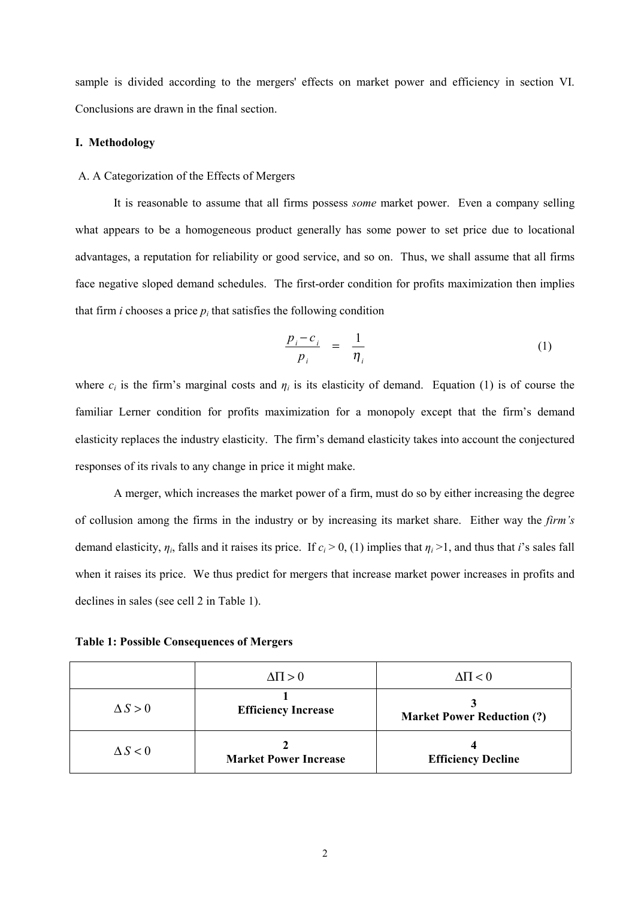sample is divided according to the mergers' effects on market power and efficiency in section VI. Conclusions are drawn in the final section.

#### **I. Methodology**

## A. A Categorization of the Effects of Mergers

It is reasonable to assume that all firms possess *some* market power. Even a company selling what appears to be a homogeneous product generally has some power to set price due to locational advantages, a reputation for reliability or good service, and so on. Thus, we shall assume that all firms face negative sloped demand schedules. The first-order condition for profits maximization then implies that firm *i* chooses a price  $p_i$  that satisfies the following condition

$$
\frac{p_i - c_i}{p_i} = \frac{1}{\eta_i} \tag{1}
$$

where  $c_i$  is the firm's marginal costs and  $\eta_i$  is its elasticity of demand. Equation (1) is of course the familiar Lerner condition for profits maximization for a monopoly except that the firm's demand elasticity replaces the industry elasticity. The firmís demand elasticity takes into account the conjectured responses of its rivals to any change in price it might make.

J.

A merger, which increases the market power of a firm, must do so by either increasing the degree of collusion among the firms in the industry or by increasing its market share. Either way the *firmís* demand elasticity,  $\eta_i$ , falls and it raises its price. If  $c_i > 0$ , (1) implies that  $\eta_i > 1$ , and thus that *i*'s sales fall when it raises its price. We thus predict for mergers that increase market power increases in profits and declines in sales (see cell 2 in Table 1).

**Table 1: Possible Consequences of Mergers** 

|                | $\Delta \Pi > 0$             | $\Delta \Pi$ < 0                  |
|----------------|------------------------------|-----------------------------------|
| $\Delta S > 0$ | <b>Efficiency Increase</b>   | <b>Market Power Reduction (?)</b> |
| $\Delta S < 0$ | <b>Market Power Increase</b> | <b>Efficiency Decline</b>         |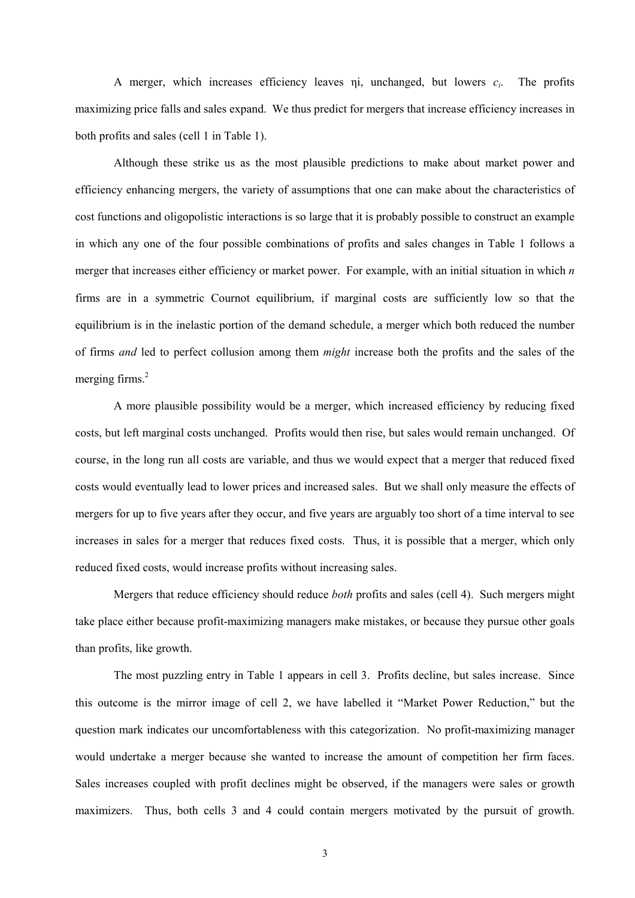A merger, which increases efficiency leaves ηi, unchanged, but lowers *ci*. The profits maximizing price falls and sales expand. We thus predict for mergers that increase efficiency increases in both profits and sales (cell 1 in Table 1).

Although these strike us as the most plausible predictions to make about market power and efficiency enhancing mergers, the variety of assumptions that one can make about the characteristics of cost functions and oligopolistic interactions is so large that it is probably possible to construct an example in which any one of the four possible combinations of profits and sales changes in Table 1 follows a merger that increases either efficiency or market power. For example, with an initial situation in which *n* firms are in a symmetric Cournot equilibrium, if marginal costs are sufficiently low so that the equilibrium is in the inelastic portion of the demand schedule, a merger which both reduced the number of firms *and* led to perfect collusion among them *might* increase both the profits and the sales of the merging firms.<sup>2</sup>

A more plausible possibility would be a merger, which increased efficiency by reducing fixed costs, but left marginal costs unchanged. Profits would then rise, but sales would remain unchanged. Of course, in the long run all costs are variable, and thus we would expect that a merger that reduced fixed costs would eventually lead to lower prices and increased sales. But we shall only measure the effects of mergers for up to five years after they occur, and five years are arguably too short of a time interval to see increases in sales for a merger that reduces fixed costs. Thus, it is possible that a merger, which only reduced fixed costs, would increase profits without increasing sales.

Mergers that reduce efficiency should reduce *both* profits and sales (cell 4). Such mergers might take place either because profit-maximizing managers make mistakes, or because they pursue other goals than profits, like growth.

The most puzzling entry in Table 1 appears in cell 3. Profits decline, but sales increase. Since this outcome is the mirror image of cell 2, we have labelled it "Market Power Reduction," but the question mark indicates our uncomfortableness with this categorization. No profit-maximizing manager would undertake a merger because she wanted to increase the amount of competition her firm faces. Sales increases coupled with profit declines might be observed, if the managers were sales or growth maximizers. Thus, both cells 3 and 4 could contain mergers motivated by the pursuit of growth.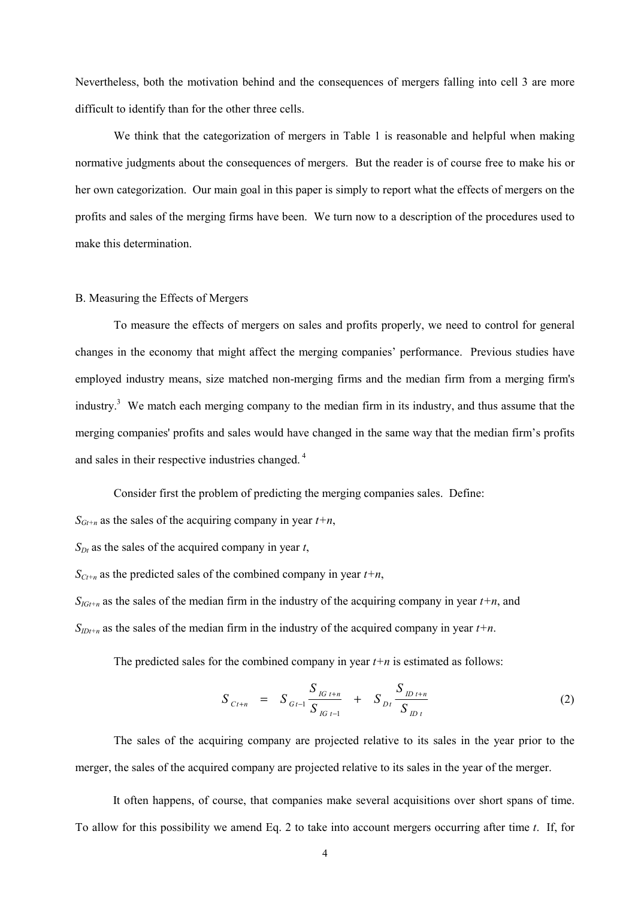Nevertheless, both the motivation behind and the consequences of mergers falling into cell 3 are more difficult to identify than for the other three cells.

We think that the categorization of mergers in Table 1 is reasonable and helpful when making normative judgments about the consequences of mergers. But the reader is of course free to make his or her own categorization. Our main goal in this paper is simply to report what the effects of mergers on the profits and sales of the merging firms have been. We turn now to a description of the procedures used to make this determination.

## B. Measuring the Effects of Mergers

To measure the effects of mergers on sales and profits properly, we need to control for general changes in the economy that might affect the merging companies' performance. Previous studies have employed industry means, size matched non-merging firms and the median firm from a merging firm's industry.<sup>3</sup> We match each merging company to the median firm in its industry, and thus assume that the merging companies' profits and sales would have changed in the same way that the median firm's profits and sales in their respective industries changed.<sup>4</sup>

Consider first the problem of predicting the merging companies sales. Define:

 $S_{Gt+n}$  as the sales of the acquiring company in year  $t+n$ ,

 $S_{Dt}$  as the sales of the acquired company in year *t*,

 $S_{C_{t+n}}$  as the predicted sales of the combined company in year  $t+n$ ,

 $S_{IGt+n}$  as the sales of the median firm in the industry of the acquiring company in year  $t+n$ , and  $S_{\text{ID++n}}$  as the sales of the median firm in the industry of the acquired company in year  $t+n$ .

The predicted sales for the combined company in year  $t+n$  is estimated as follows:

$$
S_{C_{t+n}} = S_{G_{t-1}} \frac{S_{IG t+n}}{S_{IG t-1}} + S_{Di} \frac{S_{ID t+n}}{S_{ID t}}
$$
(2)

The sales of the acquiring company are projected relative to its sales in the year prior to the merger, the sales of the acquired company are projected relative to its sales in the year of the merger.

It often happens, of course, that companies make several acquisitions over short spans of time. To allow for this possibility we amend Eq. 2 to take into account mergers occurring after time *t*. If, for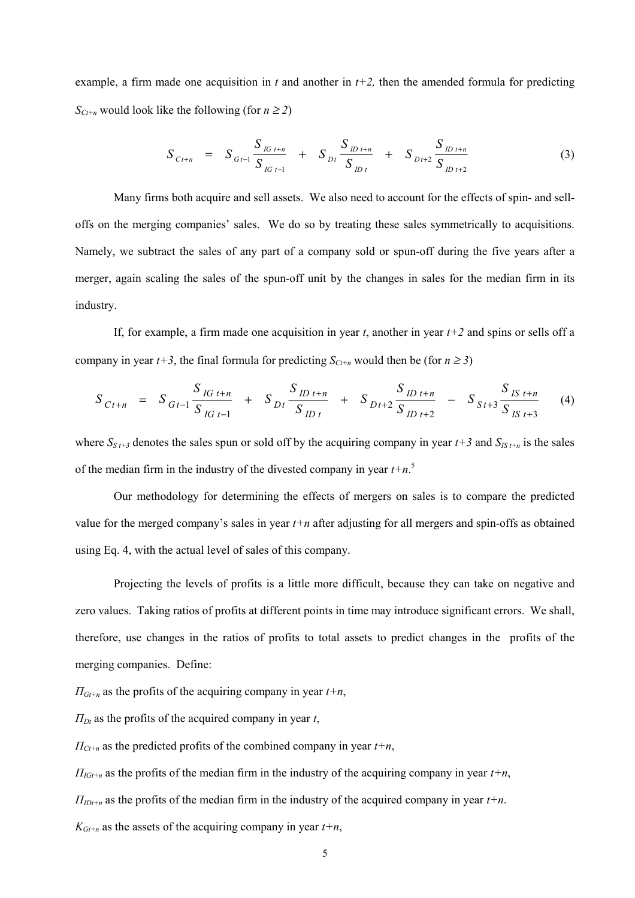example, a firm made one acquisition in  $t$  and another in  $t+2$ , then the amended formula for predicting *S<sub>Ct+n</sub>* would look like the following (for  $n \ge 2$ )

$$
S_{C_{t+n}} = S_{G_{t-1}} \frac{S_{IG_{t+n}}}{S_{IG_{t-1}}} + S_{Di} \frac{S_{ID_{t+n}}}{S_{ID_{t}}} + S_{Di+2} \frac{S_{ID_{t+n}}}{S_{ID_{t+2}}}
$$
(3)

Many firms both acquire and sell assets. We also need to account for the effects of spin- and selloffs on the merging companies' sales. We do so by treating these sales symmetrically to acquisitions. Namely, we subtract the sales of any part of a company sold or spun-off during the five years after a merger, again scaling the sales of the spun-off unit by the changes in sales for the median firm in its industry.

If, for example, a firm made one acquisition in year  $t$ , another in year  $t+2$  and spins or sells off a company in year  $t+3$ , the final formula for predicting  $S_{Ct+n}$  would then be (for  $n \geq 3$ )

$$
S_{Ct+n} = S_{Gt-1} \frac{S_{IG t+n}}{S_{IG t-1}} + S_{Di} \frac{S_{ID t+n}}{S_{ID t}} + S_{Di+2} \frac{S_{ID t+n}}{S_{ID t+2}} - S_{St+3} \frac{S_{IS t+n}}{S_{IS t+3}}
$$
(4)

where  $S_{S t+3}$  denotes the sales spun or sold off by the acquiring company in year  $t+3$  and  $S_{I S t+n}$  is the sales of the median firm in the industry of the divested company in year  $t+n$ <sup>5</sup>

Our methodology for determining the effects of mergers on sales is to compare the predicted value for the merged companyís sales in year *t+n* after adjusting for all mergers and spin-offs as obtained using Eq. 4, with the actual level of sales of this company.

Projecting the levels of profits is a little more difficult, because they can take on negative and zero values. Taking ratios of profits at different points in time may introduce significant errors. We shall, therefore, use changes in the ratios of profits to total assets to predict changes in the profits of the merging companies. Define:

*ΠGt+n* as the profits of the acquiring company in year *t+n*,

*ΠDt* as the profits of the acquired company in year *t*,

 $\Pi_{C+n}$  as the predicted profits of the combined company in year  $t+n$ ,

*ΠIGt+n* as the profits of the median firm in the industry of the acquiring company in year *t+n*,

 $\Pi_{Dt+n}$  as the profits of the median firm in the industry of the acquired company in year  $t+n$ .

 $K_{Gt+n}$  as the assets of the acquiring company in year  $t+n$ ,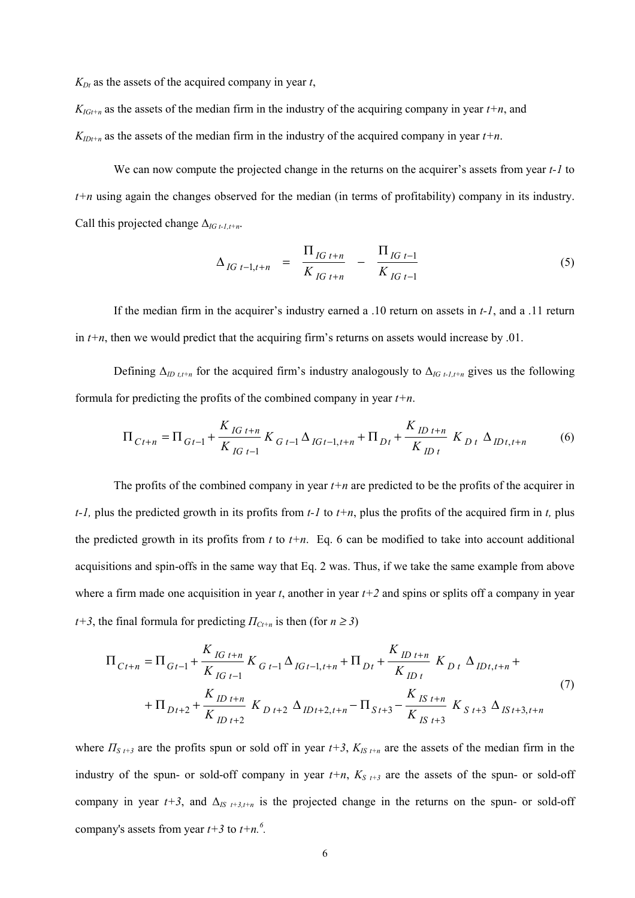$K_{Dt}$  as the assets of the acquired company in year  $t$ ,

 $K_{IGt+n}$  as the assets of the median firm in the industry of the acquiring company in year  $t+n$ , and  $K_{IDt+n}$  as the assets of the median firm in the industry of the acquired company in year  $t+n$ .

We can now compute the projected change in the returns on the acquirer's assets from year  $t-1$  to *t+n* using again the changes observed for the median (in terms of profitability) company in its industry. Call this projected change ∆*IG t-1,t+n*.

$$
\Delta_{IG\ t-1,t+n} = \frac{\Pi_{IG\ t+n}}{K_{IG\ t+n}} - \frac{\Pi_{IG\ t-1}}{K_{IG\ t-1}}
$$
\n(5)

If the median firm in the acquirer's industry earned a .10 return on assets in  $t$ - $l$ , and a .11 return in  $t+n$ , then we would predict that the acquiring firm's returns on assets would increase by .01.

Defining  $\Delta_{ID \ t, t+n}$  for the acquired firm's industry analogously to  $\Delta_{IG \ t-1, t+n}$  gives us the following formula for predicting the profits of the combined company in year *t+n*.

$$
\Pi_{Ct+n} = \Pi_{Gt-1} + \frac{K_{IG t+n}}{K_{IG t-1}} K_{G t-1} \Delta_{IG t-1, t+n} + \Pi_{Dt} + \frac{K_{ID t+n}}{K_{ID t}} K_{Dt} \Delta_{ID t, t+n}
$$
(6)

The profits of the combined company in year  $t+n$  are predicted to be the profits of the acquirer in *t-1*, plus the predicted growth in its profits from  $t$ -*I* to  $t+n$ , plus the profits of the acquired firm in *t*, plus the predicted growth in its profits from  $t$  to  $t+n$ . Eq. 6 can be modified to take into account additional acquisitions and spin-offs in the same way that Eq. 2 was. Thus, if we take the same example from above where a firm made one acquisition in year  $t$ , another in year  $t+2$  and spins or splits off a company in year *t*+3, the final formula for predicting  $\Pi_{Ct+n}$  is then (for  $n \ge 3$ )

$$
\Pi_{C t+n} = \Pi_{G t-1} + \frac{K_{IG t+n}}{K_{IG t-1}} K_{G t-1} \Delta_{IG t-1, t+n} + \Pi_{Dt} + \frac{K_{ID t+n}}{K_{ID t}} K_{Dt} \Delta_{ID t, t+n} + \Pi_{Dt+2} + \frac{K_{ID t+n}}{K_{ID t+2}} K_{Dt+2} \Delta_{ID t+2, t+n} - \Pi_{St+3} - \frac{K_{IS t+n}}{K_{IS t+3}} K_{S t+3} \Delta_{IS t+3, t+n}
$$
\n(7)

where  $\Pi_{S t+3}$  are the profits spun or sold off in year  $t+3$ ,  $K_{IS t+n}$  are the assets of the median firm in the industry of the spun- or sold-off company in year  $t+n$ ,  $K_{S}$   $_{t+3}$  are the assets of the spun- or sold-off company in year  $t+3$ , and  $\Delta_{IS}$   $_{t+3,t+n}$  is the projected change in the returns on the spun- or sold-off company's assets from year  $t+3$  to  $t+n$ <sup>6</sup>.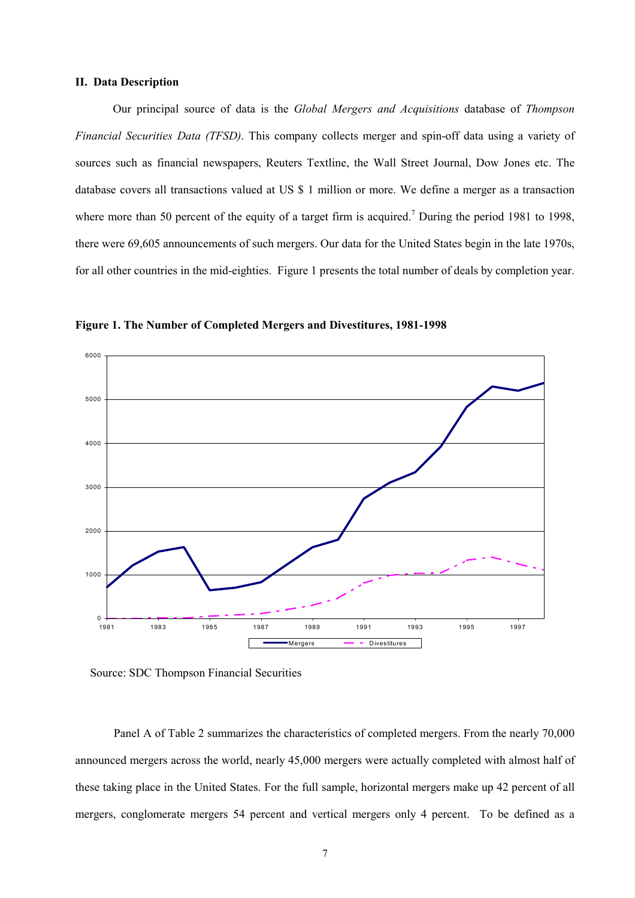#### **II. Data Description**

Our principal source of data is the *Global Mergers and Acquisitions* database of *Thompson Financial Securities Data (TFSD)*. This company collects merger and spin-off data using a variety of sources such as financial newspapers, Reuters Textline, the Wall Street Journal, Dow Jones etc. The database covers all transactions valued at US \$ 1 million or more. We define a merger as a transaction where more than 50 percent of the equity of a target firm is acquired.<sup>7</sup> During the period 1981 to 1998, there were 69,605 announcements of such mergers. Our data for the United States begin in the late 1970s, for all other countries in the mid-eighties. Figure 1 presents the total number of deals by completion year.



**Figure 1. The Number of Completed Mergers and Divestitures, 1981-1998** 

Source: SDC Thompson Financial Securities

Panel A of Table 2 summarizes the characteristics of completed mergers. From the nearly 70,000 announced mergers across the world, nearly 45,000 mergers were actually completed with almost half of these taking place in the United States. For the full sample, horizontal mergers make up 42 percent of all mergers, conglomerate mergers 54 percent and vertical mergers only 4 percent. To be defined as a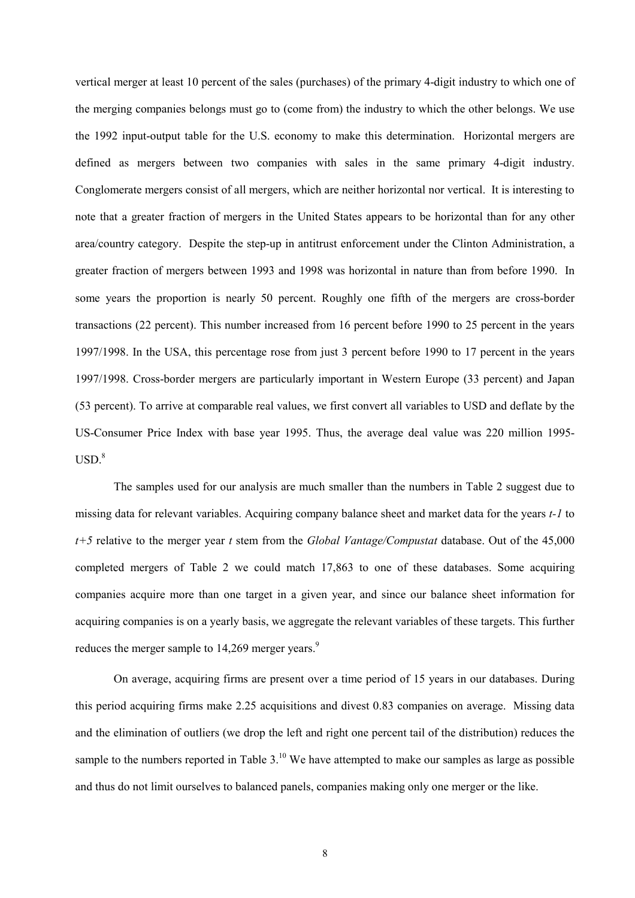vertical merger at least 10 percent of the sales (purchases) of the primary 4-digit industry to which one of the merging companies belongs must go to (come from) the industry to which the other belongs. We use the 1992 input-output table for the U.S. economy to make this determination. Horizontal mergers are defined as mergers between two companies with sales in the same primary 4-digit industry. Conglomerate mergers consist of all mergers, which are neither horizontal nor vertical. It is interesting to note that a greater fraction of mergers in the United States appears to be horizontal than for any other area/country category. Despite the step-up in antitrust enforcement under the Clinton Administration, a greater fraction of mergers between 1993 and 1998 was horizontal in nature than from before 1990. In some years the proportion is nearly 50 percent. Roughly one fifth of the mergers are cross-border transactions (22 percent). This number increased from 16 percent before 1990 to 25 percent in the years 1997/1998. In the USA, this percentage rose from just 3 percent before 1990 to 17 percent in the years 1997/1998. Cross-border mergers are particularly important in Western Europe (33 percent) and Japan (53 percent). To arrive at comparable real values, we first convert all variables to USD and deflate by the US-Consumer Price Index with base year 1995. Thus, the average deal value was 220 million 1995-  $USD.<sup>8</sup>$ 

The samples used for our analysis are much smaller than the numbers in Table 2 suggest due to missing data for relevant variables. Acquiring company balance sheet and market data for the years *t-1* to *t+5* relative to the merger year *t* stem from the *Global Vantage/Compustat* database. Out of the 45,000 completed mergers of Table 2 we could match 17,863 to one of these databases. Some acquiring companies acquire more than one target in a given year, and since our balance sheet information for acquiring companies is on a yearly basis, we aggregate the relevant variables of these targets. This further reduces the merger sample to 14,269 merger years.<sup>9</sup>

On average, acquiring firms are present over a time period of 15 years in our databases. During this period acquiring firms make 2.25 acquisitions and divest 0.83 companies on average. Missing data and the elimination of outliers (we drop the left and right one percent tail of the distribution) reduces the sample to the numbers reported in Table  $3<sup>10</sup>$  We have attempted to make our samples as large as possible and thus do not limit ourselves to balanced panels, companies making only one merger or the like.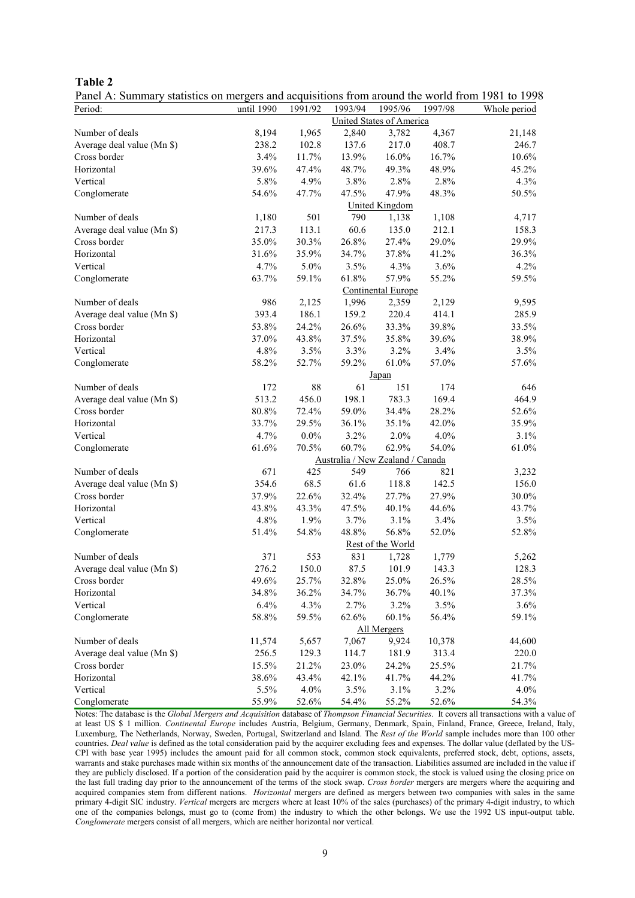| ını<br>r<br>И |  |
|---------------|--|
|---------------|--|

| Panel A: Summary statistics on mergers and acquisitions from around the world from 1981 to 1998 |                                 |         |         |                                  |         |              |  |  |  |
|-------------------------------------------------------------------------------------------------|---------------------------------|---------|---------|----------------------------------|---------|--------------|--|--|--|
| Period:                                                                                         | until 1990                      | 1991/92 | 1993/94 | 1995/96                          | 1997/98 | Whole period |  |  |  |
|                                                                                                 | <b>United States of America</b> |         |         |                                  |         |              |  |  |  |
| Number of deals                                                                                 | 8,194                           | 1,965   | 2,840   | 3,782                            | 4,367   | 21,148       |  |  |  |
| Average deal value (Mn \$)                                                                      | 238.2                           | 102.8   | 137.6   | 217.0                            | 408.7   | 246.7        |  |  |  |
| Cross border                                                                                    | 3.4%                            | 11.7%   | 13.9%   | 16.0%                            | 16.7%   | 10.6%        |  |  |  |
| Horizontal                                                                                      | 39.6%                           | 47.4%   | 48.7%   | 49.3%                            | 48.9%   | 45.2%        |  |  |  |
| Vertical                                                                                        | 5.8%                            | 4.9%    | 3.8%    | 2.8%                             | 2.8%    | 4.3%         |  |  |  |
| Conglomerate                                                                                    | 54.6%                           | 47.7%   | 47.5%   | 47.9%                            | 48.3%   | 50.5%        |  |  |  |
|                                                                                                 |                                 |         |         | United Kingdom                   |         |              |  |  |  |
| Number of deals                                                                                 | 1,180                           | 501     | 790     | 1,138                            | 1,108   | 4,717        |  |  |  |
| Average deal value (Mn \$)                                                                      | 217.3                           | 113.1   | 60.6    | 135.0                            | 212.1   | 158.3        |  |  |  |
| Cross border                                                                                    | 35.0%                           | 30.3%   | 26.8%   | 27.4%                            | 29.0%   | 29.9%        |  |  |  |
| Horizontal                                                                                      | 31.6%                           | 35.9%   | 34.7%   | 37.8%                            | 41.2%   | 36.3%        |  |  |  |
| Vertical                                                                                        | 4.7%                            | 5.0%    | 3.5%    | 4.3%                             | 3.6%    | 4.2%         |  |  |  |
| Conglomerate                                                                                    | 63.7%                           | 59.1%   | 61.8%   | 57.9%                            | 55.2%   | 59.5%        |  |  |  |
|                                                                                                 |                                 |         |         | <b>Continental Europe</b>        |         |              |  |  |  |
| Number of deals                                                                                 | 986                             | 2,125   | 1,996   | 2,359                            | 2,129   | 9,595        |  |  |  |
| Average deal value (Mn \$)                                                                      | 393.4                           | 186.1   | 159.2   | 220.4                            | 414.1   | 285.9        |  |  |  |
| Cross border                                                                                    | 53.8%                           | 24.2%   | 26.6%   | 33.3%                            | 39.8%   | 33.5%        |  |  |  |
| Horizontal                                                                                      | 37.0%                           | 43.8%   | 37.5%   | 35.8%                            | 39.6%   | 38.9%        |  |  |  |
| Vertical                                                                                        | 4.8%                            | 3.5%    | 3.3%    | 3.2%                             | 3.4%    | 3.5%         |  |  |  |
| Conglomerate                                                                                    | 58.2%                           | 52.7%   | 59.2%   | 61.0%                            | 57.0%   | 57.6%        |  |  |  |
|                                                                                                 |                                 |         |         | <b>Japan</b>                     |         |              |  |  |  |
| Number of deals                                                                                 | 172                             | 88      | 61      | 151                              | 174     | 646          |  |  |  |
| Average deal value (Mn \$)                                                                      | 513.2                           | 456.0   | 198.1   | 783.3                            | 169.4   | 464.9        |  |  |  |
| Cross border                                                                                    | 80.8%                           | 72.4%   | 59.0%   | 34.4%                            | 28.2%   | 52.6%        |  |  |  |
| Horizontal                                                                                      | 33.7%                           | 29.5%   | 36.1%   | 35.1%                            | 42.0%   | 35.9%        |  |  |  |
| Vertical                                                                                        | 4.7%                            | $0.0\%$ | 3.2%    | 2.0%                             | 4.0%    | 3.1%         |  |  |  |
| Conglomerate                                                                                    | 61.6%                           | 70.5%   | 60.7%   | 62.9%                            | 54.0%   | 61.0%        |  |  |  |
|                                                                                                 |                                 |         |         | Australia / New Zealand / Canada |         |              |  |  |  |
| Number of deals                                                                                 | 671                             | 425     | 549     | 766                              | 821     | 3,232        |  |  |  |
| Average deal value (Mn \$)                                                                      | 354.6                           | 68.5    | 61.6    | 118.8                            | 142.5   | 156.0        |  |  |  |
| Cross border                                                                                    | 37.9%                           | 22.6%   | 32.4%   | 27.7%                            | 27.9%   | 30.0%        |  |  |  |
| Horizontal                                                                                      | 43.8%                           | 43.3%   | 47.5%   | 40.1%                            | 44.6%   | 43.7%        |  |  |  |
| Vertical                                                                                        | 4.8%                            | 1.9%    | 3.7%    | 3.1%                             | 3.4%    | 3.5%         |  |  |  |
| Conglomerate                                                                                    | 51.4%                           | 54.8%   | 48.8%   | 56.8%                            | 52.0%   | 52.8%        |  |  |  |
|                                                                                                 |                                 |         |         | Rest of the World                |         |              |  |  |  |
| Number of deals                                                                                 | 371                             | 553     | 831     | 1,728                            | 1,779   | 5,262        |  |  |  |
| Average deal value (Mn \$)                                                                      | 276.2                           | 150.0   | 87.5    | 101.9                            | 143.3   | 128.3        |  |  |  |
| Cross border                                                                                    | 49.6%                           | 25.7%   | 32.8%   | 25.0%                            | 26.5%   | 28.5%        |  |  |  |
| Horizontal                                                                                      | 34.8%                           | 36.2%   | 34.7%   | 36.7%                            | 40.1%   | 37.3%        |  |  |  |
| Vertical                                                                                        | 6.4%                            | 4.3%    | 2.7%    | 3.2%                             | 3.5%    | 3.6%         |  |  |  |
| Conglomerate                                                                                    | 58.8%                           | 59.5%   | 62.6%   | 60.1%                            | 56.4%   | 59.1%        |  |  |  |
|                                                                                                 |                                 |         |         | <u>All Mergers</u>               |         |              |  |  |  |
| Number of deals                                                                                 | 11,574                          | 5,657   | 7,067   | 9,924                            | 10,378  | 44,600       |  |  |  |
| Average deal value (Mn \$)                                                                      | 256.5                           | 129.3   | 114.7   | 181.9                            | 313.4   | 220.0        |  |  |  |
| Cross border                                                                                    | 15.5%                           | 21.2%   | 23.0%   | 24.2%                            | 25.5%   | 21.7%        |  |  |  |
| Horizontal                                                                                      | 38.6%                           | 43.4%   | 42.1%   | 41.7%                            | 44.2%   | 41.7%        |  |  |  |
| Vertical                                                                                        | 5.5%                            | 4.0%    | 3.5%    | 3.1%                             | 3.2%    | 4.0%         |  |  |  |
| Conglomerate                                                                                    | 55.9%                           | 52.6%   | 54.4%   | 55.2%                            | 52.6%   | 54.3%        |  |  |  |

Notes: The database is the *Global Mergers and Acquisition* database of *Thompson Financial Securities*. It covers all transactions with a value of at least US \$ 1 million. *Continental Europe* includes Austria, Belgium, Germany, Denmark, Spain, Finland, France, Greece, Ireland, Italy, Luxemburg, The Netherlands, Norway, Sweden, Portugal, Switzerland and Island. The *Rest of the World* sample includes more than 100 other countries. *Deal value* is defined as the total consideration paid by the acquirer excluding fees and expenses. The dollar value (deflated by the US-CPI with base year 1995) includes the amount paid for all common stock, common stock equivalents, preferred stock, debt, options, assets, warrants and stake purchases made within six months of the announcement date of the transaction. Liabilities assumed are included in the value if they are publicly disclosed. If a portion of the consideration paid by the acquirer is common stock, the stock is valued using the closing price on the last full trading day prior to the announcement of the terms of the stock swap. *Cross border* mergers are mergers where the acquiring and acquired companies stem from different nations. *Horizontal* mergers are defined as mergers between two companies with sales in the same primary 4-digit SIC industry. *Vertical* mergers are mergers where at least 10% of the sales (purchases) of the primary 4-digit industry, to which one of the companies belongs, must go to (come from) the industry to which the other belongs. We use the 1992 US input-output table. *Conglomerate* mergers consist of all mergers, which are neither horizontal nor vertical.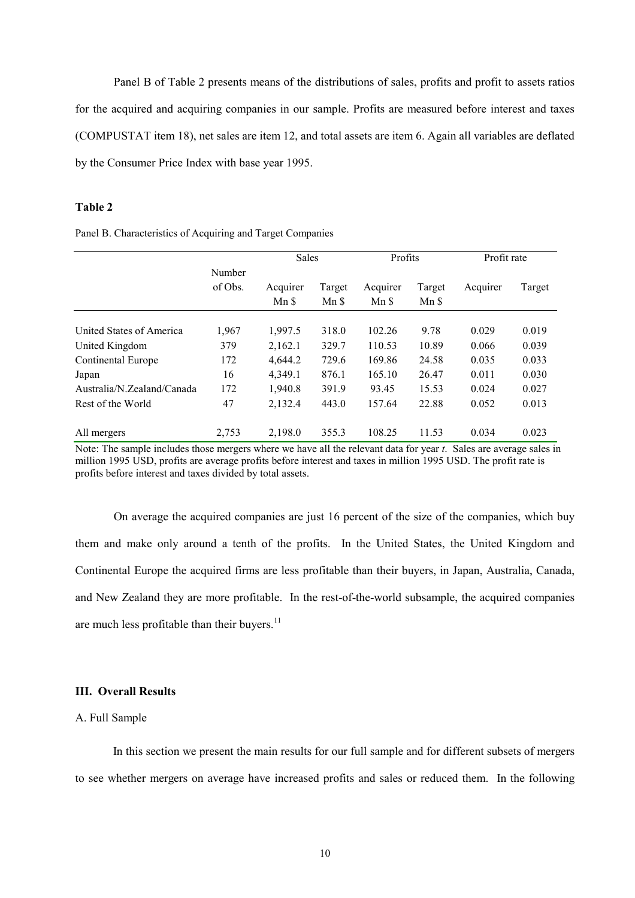Panel B of Table 2 presents means of the distributions of sales, profits and profit to assets ratios for the acquired and acquiring companies in our sample. Profits are measured before interest and taxes (COMPUSTAT item 18), net sales are item 12, and total assets are item 6. Again all variables are deflated by the Consumer Price Index with base year 1995.

## **Table 2**

Panel B. Characteristics of Acquiring and Target Companies

|                             |                   | <b>Sales</b>        |                   | Profits             |                   | Profit rate |        |
|-----------------------------|-------------------|---------------------|-------------------|---------------------|-------------------|-------------|--------|
|                             | Number<br>of Obs. | Acquirer<br>$Mn$ \$ | Target<br>$Mn$ \$ | Acquirer<br>$Mn$ \$ | Target<br>$Mn$ \$ | Acquirer    | Target |
| United States of America    | 1,967             | 1,997.5             | 318.0             | 102.26              | 9.78              | 0.029       | 0.019  |
| United Kingdom              | 379               | 2,162.1             | 329.7             | 110.53              | 10.89             | 0.066       | 0.039  |
| Continental Europe          | 172               | 4,644.2             | 729.6             | 169.86              | 24.58             | 0.035       | 0.033  |
| Japan                       | 16                | 4,349.1             | 876.1             | 165.10              | 26.47             | 0.011       | 0.030  |
| Australia/N. Zealand/Canada | 172               | 1,940.8             | 391.9             | 93.45               | 15.53             | 0.024       | 0.027  |
| Rest of the World           | 47                | 2,132.4             | 443.0             | 157.64              | 22.88             | 0.052       | 0.013  |
| All mergers                 | 2,753             | 2,198.0             | 355.3             | 108.25              | 11.53             | 0.034       | 0.023  |

Note: The sample includes those mergers where we have all the relevant data for year *t*. Sales are average sales in million 1995 USD, profits are average profits before interest and taxes in million 1995 USD. The profit rate is profits before interest and taxes divided by total assets.

On average the acquired companies are just 16 percent of the size of the companies, which buy them and make only around a tenth of the profits. In the United States, the United Kingdom and Continental Europe the acquired firms are less profitable than their buyers, in Japan, Australia, Canada, and New Zealand they are more profitable. In the rest-of-the-world subsample, the acquired companies are much less profitable than their buyers.<sup>11</sup>

#### **III. Overall Results**

#### A. Full Sample

In this section we present the main results for our full sample and for different subsets of mergers to see whether mergers on average have increased profits and sales or reduced them. In the following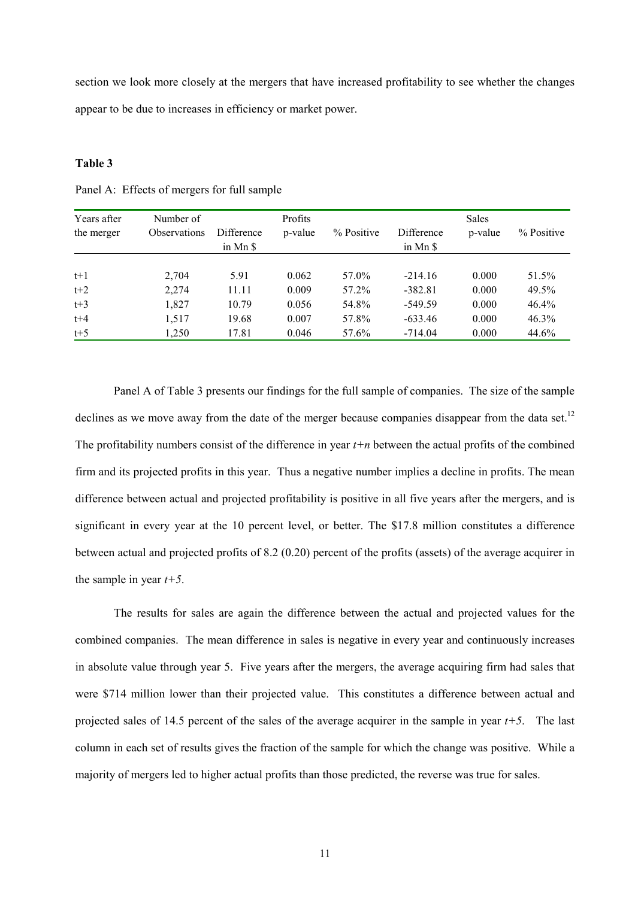section we look more closely at the mergers that have increased profitability to see whether the changes appear to be due to increases in efficiency or market power.

#### **Table 3**

| Years after | Number of    |            | Profits |            |            | <b>Sales</b> |            |
|-------------|--------------|------------|---------|------------|------------|--------------|------------|
| the merger  | Observations | Difference | p-value | % Positive | Difference | p-value      | % Positive |
|             |              | in Mn \$   |         |            | in Mn \$   |              |            |
|             |              |            |         |            |            |              |            |
| $t+1$       | 2,704        | 5.91       | 0.062   | 57.0%      | $-214.16$  | 0.000        | 51.5%      |
| $t+2$       | 2,274        | 11.11      | 0.009   | 57.2%      | $-382.81$  | 0.000        | 49.5%      |
| $t+3$       | 1,827        | 10.79      | 0.056   | 54.8%      | $-549.59$  | 0.000        | 46.4%      |
| $t + 4$     | 1,517        | 19.68      | 0.007   | 57.8%      | $-633.46$  | 0.000        | 46.3%      |
| $t+5$       | 1,250        | 17.81      | 0.046   | 57.6%      | $-714.04$  | 0.000        | 44.6%      |

Panel A: Effects of mergers for full sample

Panel A of Table 3 presents our findings for the full sample of companies. The size of the sample declines as we move away from the date of the merger because companies disappear from the data set.<sup>12</sup> The profitability numbers consist of the difference in year *t+n* between the actual profits of the combined firm and its projected profits in this year. Thus a negative number implies a decline in profits. The mean difference between actual and projected profitability is positive in all five years after the mergers, and is significant in every year at the 10 percent level, or better. The \$17.8 million constitutes a difference between actual and projected profits of 8.2 (0.20) percent of the profits (assets) of the average acquirer in the sample in year *t+5*.

The results for sales are again the difference between the actual and projected values for the combined companies. The mean difference in sales is negative in every year and continuously increases in absolute value through year 5. Five years after the mergers, the average acquiring firm had sales that were \$714 million lower than their projected value. This constitutes a difference between actual and projected sales of 14.5 percent of the sales of the average acquirer in the sample in year  $t+5$ . The last column in each set of results gives the fraction of the sample for which the change was positive. While a majority of mergers led to higher actual profits than those predicted, the reverse was true for sales.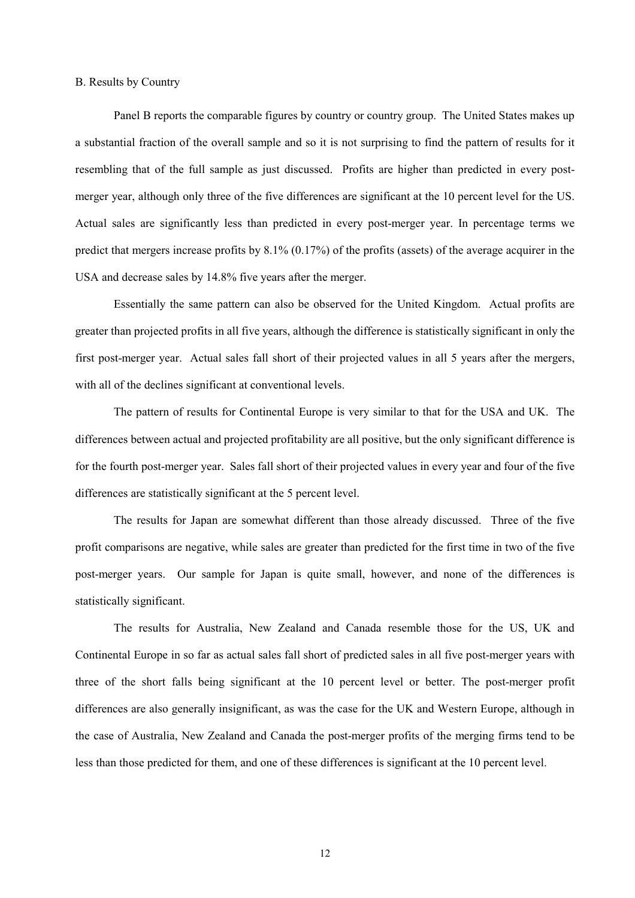## B. Results by Country

Panel B reports the comparable figures by country or country group. The United States makes up a substantial fraction of the overall sample and so it is not surprising to find the pattern of results for it resembling that of the full sample as just discussed. Profits are higher than predicted in every postmerger year, although only three of the five differences are significant at the 10 percent level for the US. Actual sales are significantly less than predicted in every post-merger year. In percentage terms we predict that mergers increase profits by 8.1% (0.17%) of the profits (assets) of the average acquirer in the USA and decrease sales by 14.8% five years after the merger.

Essentially the same pattern can also be observed for the United Kingdom. Actual profits are greater than projected profits in all five years, although the difference is statistically significant in only the first post-merger year. Actual sales fall short of their projected values in all 5 years after the mergers, with all of the declines significant at conventional levels.

The pattern of results for Continental Europe is very similar to that for the USA and UK. The differences between actual and projected profitability are all positive, but the only significant difference is for the fourth post-merger year. Sales fall short of their projected values in every year and four of the five differences are statistically significant at the 5 percent level.

The results for Japan are somewhat different than those already discussed. Three of the five profit comparisons are negative, while sales are greater than predicted for the first time in two of the five post-merger years. Our sample for Japan is quite small, however, and none of the differences is statistically significant.

The results for Australia, New Zealand and Canada resemble those for the US, UK and Continental Europe in so far as actual sales fall short of predicted sales in all five post-merger years with three of the short falls being significant at the 10 percent level or better. The post-merger profit differences are also generally insignificant, as was the case for the UK and Western Europe, although in the case of Australia, New Zealand and Canada the post-merger profits of the merging firms tend to be less than those predicted for them, and one of these differences is significant at the 10 percent level.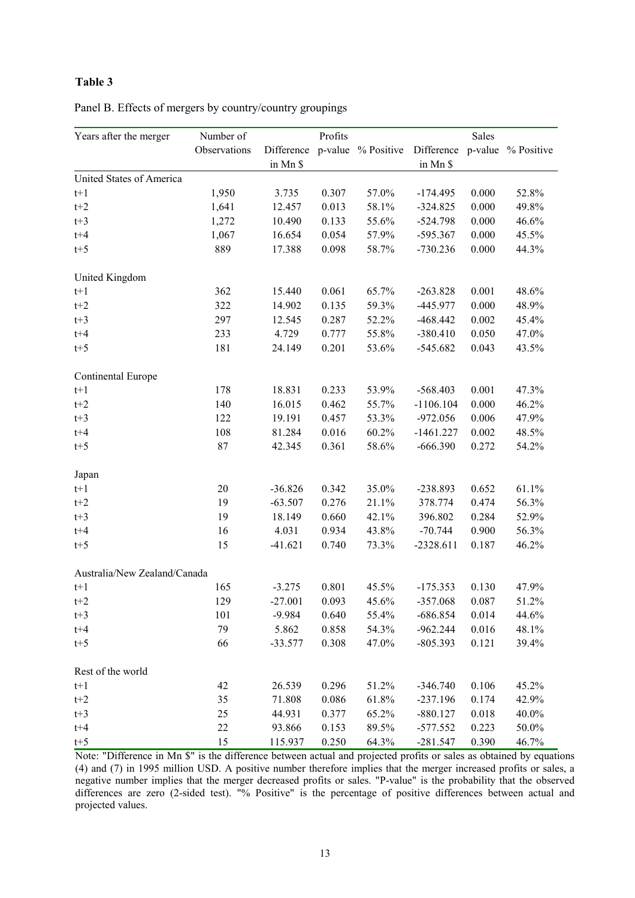# **Table 3**

| Years after the merger       | Number of    |            | Profits |                    |             | Sales |                    |
|------------------------------|--------------|------------|---------|--------------------|-------------|-------|--------------------|
|                              | Observations | Difference |         | p-value % Positive | Difference  |       | p-value % Positive |
|                              |              | in Mn \$   |         |                    | in Mn \$    |       |                    |
| United States of America     |              |            |         |                    |             |       |                    |
| $t+1$                        | 1,950        | 3.735      | 0.307   | 57.0%              | $-174.495$  | 0.000 | 52.8%              |
| $t+2$                        | 1,641        | 12.457     | 0.013   | 58.1%              | $-324.825$  | 0.000 | 49.8%              |
| $t+3$                        | 1,272        | 10.490     | 0.133   | 55.6%              | $-524.798$  | 0.000 | 46.6%              |
| $t + 4$                      | 1,067        | 16.654     | 0.054   | 57.9%              | -595.367    | 0.000 | 45.5%              |
| $t+5$                        | 889          | 17.388     | 0.098   | 58.7%              | $-730.236$  | 0.000 | 44.3%              |
| United Kingdom               |              |            |         |                    |             |       |                    |
| $t+1$                        | 362          | 15.440     | 0.061   | 65.7%              | $-263.828$  | 0.001 | 48.6%              |
| $t+2$                        | 322          | 14.902     | 0.135   | 59.3%              | $-445.977$  | 0.000 | 48.9%              |
| $t+3$                        | 297          | 12.545     | 0.287   | 52.2%              | $-468.442$  | 0.002 | 45.4%              |
| $t + 4$                      | 233          | 4.729      | 0.777   | 55.8%              | $-380.410$  | 0.050 | 47.0%              |
| $t+5$                        | 181          | 24.149     | 0.201   | 53.6%              | $-545.682$  | 0.043 | 43.5%              |
| Continental Europe           |              |            |         |                    |             |       |                    |
| $t+1$                        | 178          | 18.831     | 0.233   | 53.9%              | $-568.403$  | 0.001 | 47.3%              |
| $t+2$                        | 140          | 16.015     | 0.462   | 55.7%              | $-1106.104$ | 0.000 | 46.2%              |
| $t+3$                        | 122          | 19.191     | 0.457   | 53.3%              | $-972.056$  | 0.006 | 47.9%              |
| $t + 4$                      | 108          | 81.284     | 0.016   | 60.2%              | $-1461.227$ | 0.002 | 48.5%              |
| $t+5$                        | 87           | 42.345     | 0.361   | 58.6%              | $-666.390$  | 0.272 | 54.2%              |
| Japan                        |              |            |         |                    |             |       |                    |
| $t+1$                        | 20           | $-36.826$  | 0.342   | 35.0%              | -238.893    | 0.652 | 61.1%              |
| $t+2$                        | 19           | $-63.507$  | 0.276   | 21.1%              | 378.774     | 0.474 | 56.3%              |
| $t+3$                        | 19           | 18.149     | 0.660   | 42.1%              | 396.802     | 0.284 | 52.9%              |
| $t + 4$                      | 16           | 4.031      | 0.934   | 43.8%              | $-70.744$   | 0.900 | 56.3%              |
| $t+5$                        | 15           | $-41.621$  | 0.740   | 73.3%              | $-2328.611$ | 0.187 | 46.2%              |
| Australia/New Zealand/Canada |              |            |         |                    |             |       |                    |
| $t+1$                        | 165          | $-3.275$   | 0.801   | 45.5%              | $-175.353$  | 0.130 | 47.9%              |
| $t+2$                        | 129          | $-27.001$  | 0.093   | 45.6%              | $-357.068$  | 0.087 | 51.2%              |
| $t+3$                        | 101          | $-9.984$   | 0.640   | 55.4%              | $-686.854$  | 0.014 | 44.6%              |
| $t + 4$                      | 79           | 5.862      | 0.858   | 54.3%              | $-962.244$  | 0.016 | 48.1%              |
| $t+5$                        | 66           | $-33.577$  | 0.308   | 47.0%              | $-805.393$  | 0.121 | 39.4%              |
| Rest of the world            |              |            |         |                    |             |       |                    |
| $t+1$                        | 42           | 26.539     | 0.296   | 51.2%              | $-346.740$  | 0.106 | 45.2%              |
| $t+2$                        | 35           | 71.808     | 0.086   | 61.8%              | $-237.196$  | 0.174 | 42.9%              |
| $t+3$                        | 25           | 44.931     | 0.377   | 65.2%              | $-880.127$  | 0.018 | 40.0%              |
| $t + 4$                      | 22           | 93.866     | 0.153   | 89.5%              | $-577.552$  | 0.223 | 50.0%              |
| $t+5$                        | 15           | 115.937    | 0.250   | 64.3%              | $-281.547$  | 0.390 | 46.7%              |

Panel B. Effects of mergers by country/country groupings

Note: "Difference in Mn \$" is the difference between actual and projected profits or sales as obtained by equations (4) and (7) in 1995 million USD. A positive number therefore implies that the merger increased profits or sales, a negative number implies that the merger decreased profits or sales. "P-value" is the probability that the observed differences are zero (2-sided test). "% Positive" is the percentage of positive differences between actual and projected values.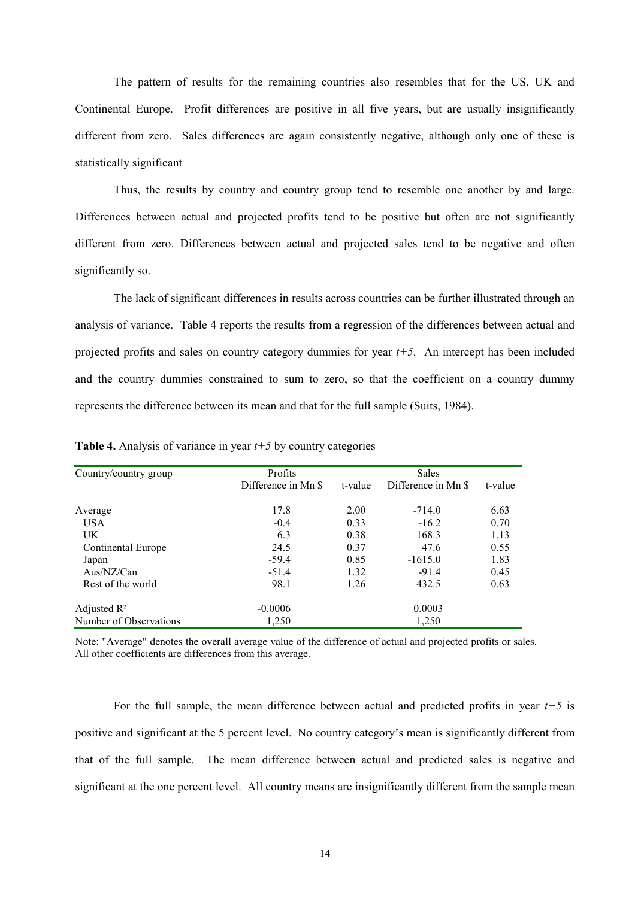The pattern of results for the remaining countries also resembles that for the US, UK and Continental Europe. Profit differences are positive in all five years, but are usually insignificantly different from zero. Sales differences are again consistently negative, although only one of these is statistically significant

Thus, the results by country and country group tend to resemble one another by and large. Differences between actual and projected profits tend to be positive but often are not significantly different from zero. Differences between actual and projected sales tend to be negative and often significantly so.

The lack of significant differences in results across countries can be further illustrated through an analysis of variance. Table 4 reports the results from a regression of the differences between actual and projected profits and sales on country category dummies for year  $t+5$ . An intercept has been included and the country dummies constrained to sum to zero, so that the coefficient on a country dummy represents the difference between its mean and that for the full sample (Suits, 1984).

| Country/country group   | Profits             |         | <b>Sales</b>        |         |
|-------------------------|---------------------|---------|---------------------|---------|
|                         | Difference in Mn \$ | t-value | Difference in Mn \$ | t-value |
|                         |                     |         |                     |         |
| Average                 | 17.8                | 2.00    | $-714.0$            | 6.63    |
| <b>USA</b>              | $-0.4$              | 0.33    | $-16.2$             | 0.70    |
| UK                      | 6.3                 | 0.38    | 168.3               | 1.13    |
| Continental Europe      | 24.5                | 0.37    | 47.6                | 0.55    |
| Japan                   | $-59.4$             | 0.85    | $-1615.0$           | 1.83    |
| Aus/NZ/Can              | $-51.4$             | 1.32    | $-91.4$             | 0.45    |
| Rest of the world       | 98.1                | 1.26    | 432.5               | 0.63    |
| Adjusted $\mathbb{R}^2$ | $-0.0006$           |         | 0.0003              |         |
| Number of Observations  | 1,250               |         | 1,250               |         |

**Table 4.** Analysis of variance in year *t+5* by country categories

Note: "Average" denotes the overall average value of the difference of actual and projected profits or sales. All other coefficients are differences from this average.

For the full sample, the mean difference between actual and predicted profits in year  $t+5$  is positive and significant at the 5 percent level. No country category's mean is significantly different from that of the full sample. The mean difference between actual and predicted sales is negative and significant at the one percent level. All country means are insignificantly different from the sample mean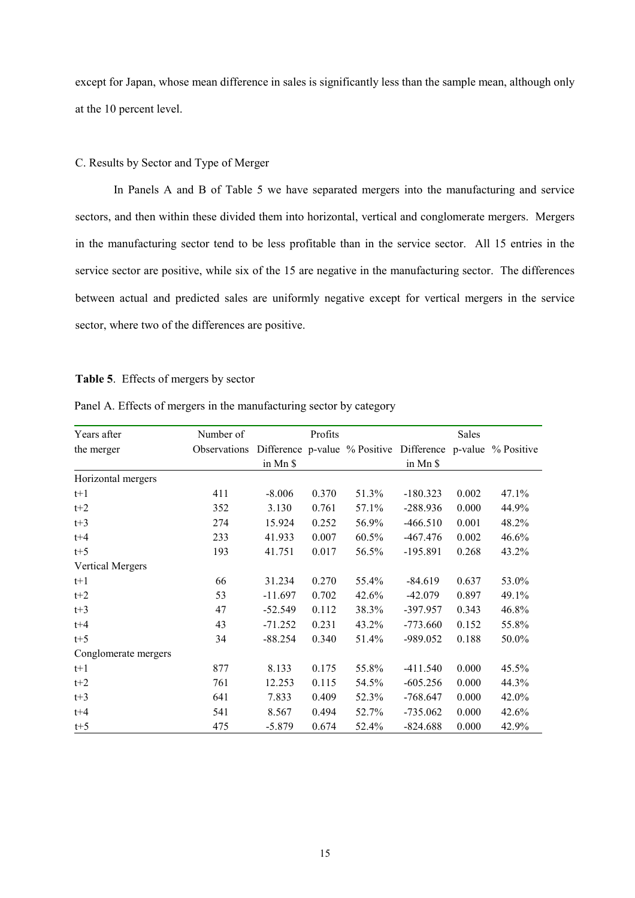except for Japan, whose mean difference in sales is significantly less than the sample mean, although only at the 10 percent level.

## C. Results by Sector and Type of Merger

In Panels A and B of Table 5 we have separated mergers into the manufacturing and service sectors, and then within these divided them into horizontal, vertical and conglomerate mergers. Mergers in the manufacturing sector tend to be less profitable than in the service sector. All 15 entries in the service sector are positive, while six of the 15 are negative in the manufacturing sector. The differences between actual and predicted sales are uniformly negative except for vertical mergers in the service sector, where two of the differences are positive.

## **Table 5**. Effects of mergers by sector

| Years after          | Number of    |           | Profits |          |            | <b>Sales</b> |                                                             |
|----------------------|--------------|-----------|---------|----------|------------|--------------|-------------------------------------------------------------|
| the merger           | Observations |           |         |          |            |              | Difference p-value % Positive Difference p-value % Positive |
|                      |              | in Mn \$  |         |          | in Mn \$   |              |                                                             |
| Horizontal mergers   |              |           |         |          |            |              |                                                             |
| $t+1$                | 411          | $-8.006$  | 0.370   | 51.3%    | $-180.323$ | 0.002        | 47.1%                                                       |
| $t+2$                | 352          | 3.130     | 0.761   | 57.1%    | $-288.936$ | 0.000        | 44.9%                                                       |
| $t+3$                | 274          | 15.924    | 0.252   | 56.9%    | $-466.510$ | 0.001        | 48.2%                                                       |
| $t + 4$              | 233          | 41.933    | 0.007   | $60.5\%$ | $-467.476$ | 0.002        | 46.6%                                                       |
| $t+5$                | 193          | 41.751    | 0.017   | 56.5%    | $-195.891$ | 0.268        | 43.2%                                                       |
| Vertical Mergers     |              |           |         |          |            |              |                                                             |
| $t+1$                | 66           | 31.234    | 0.270   | 55.4%    | $-84.619$  | 0.637        | 53.0%                                                       |
| $t+2$                | 53           | $-11.697$ | 0.702   | 42.6%    | $-42.079$  | 0.897        | 49.1%                                                       |
| $t+3$                | 47           | $-52.549$ | 0.112   | 38.3%    | $-397.957$ | 0.343        | 46.8%                                                       |
| $t + 4$              | 43           | $-71.252$ | 0.231   | 43.2%    | $-773.660$ | 0.152        | 55.8%                                                       |
| $t+5$                | 34           | $-88.254$ | 0.340   | 51.4%    | -989.052   | 0.188        | 50.0%                                                       |
| Conglomerate mergers |              |           |         |          |            |              |                                                             |
| $t+1$                | 877          | 8.133     | 0.175   | 55.8%    | $-411.540$ | 0.000        | 45.5%                                                       |
| $t+2$                | 761          | 12.253    | 0.115   | 54.5%    | $-605.256$ | 0.000        | 44.3%                                                       |
| $t+3$                | 641          | 7.833     | 0.409   | 52.3%    | $-768.647$ | 0.000        | 42.0%                                                       |
| $t + 4$              | 541          | 8.567     | 0.494   | 52.7%    | $-735.062$ | 0.000        | 42.6%                                                       |
| $t+5$                | 475          | $-5.879$  | 0.674   | 52.4%    | $-824.688$ | 0.000        | 42.9%                                                       |

Panel A. Effects of mergers in the manufacturing sector by category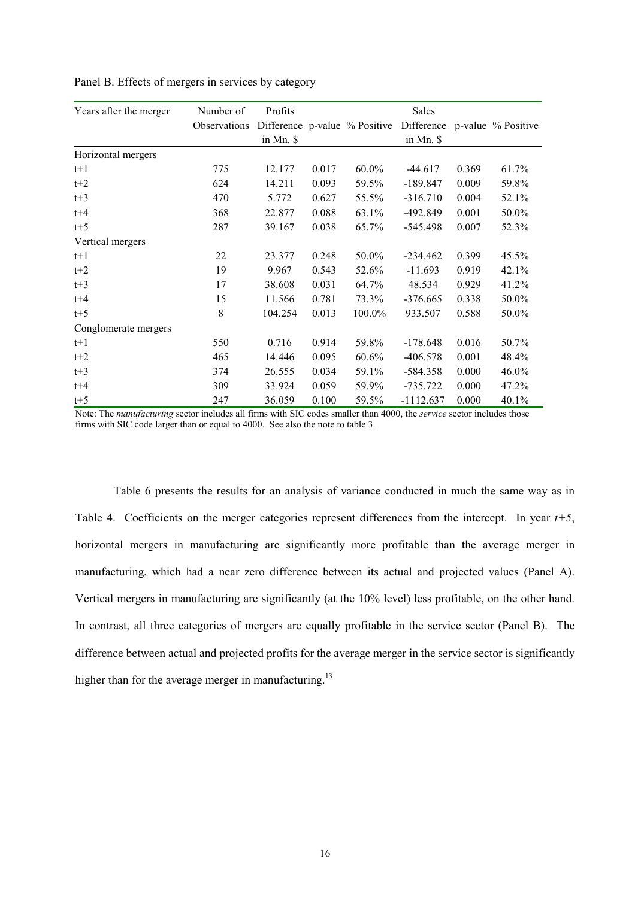| Years after the merger | Number of    | Profits   |       |          | Sales                                                       |       |       |
|------------------------|--------------|-----------|-------|----------|-------------------------------------------------------------|-------|-------|
|                        | Observations |           |       |          | Difference p-value % Positive Difference p-value % Positive |       |       |
|                        |              | in Mn. \$ |       |          | in Mn. \$                                                   |       |       |
| Horizontal mergers     |              |           |       |          |                                                             |       |       |
| $t+1$                  | 775          | 12.177    | 0.017 | $60.0\%$ | $-44.617$                                                   | 0.369 | 61.7% |
| $t+2$                  | 624          | 14.211    | 0.093 | 59.5%    | $-189.847$                                                  | 0.009 | 59.8% |
| $t+3$                  | 470          | 5.772     | 0.627 | 55.5%    | $-316.710$                                                  | 0.004 | 52.1% |
| $t + 4$                | 368          | 22.877    | 0.088 | 63.1%    | $-492.849$                                                  | 0.001 | 50.0% |
| $t+5$                  | 287          | 39.167    | 0.038 | 65.7%    | -545.498                                                    | 0.007 | 52.3% |
| Vertical mergers       |              |           |       |          |                                                             |       |       |
| $t+1$                  | 22           | 23.377    | 0.248 | 50.0%    | $-234.462$                                                  | 0.399 | 45.5% |
| $t+2$                  | 19           | 9.967     | 0.543 | 52.6%    | $-11.693$                                                   | 0.919 | 42.1% |
| $t+3$                  | 17           | 38.608    | 0.031 | 64.7%    | 48.534                                                      | 0.929 | 41.2% |
| $t + 4$                | 15           | 11.566    | 0.781 | 73.3%    | $-376.665$                                                  | 0.338 | 50.0% |
| $t+5$                  | 8            | 104.254   | 0.013 | 100.0%   | 933.507                                                     | 0.588 | 50.0% |
| Conglomerate mergers   |              |           |       |          |                                                             |       |       |
| $t+1$                  | 550          | 0.716     | 0.914 | 59.8%    | $-178.648$                                                  | 0.016 | 50.7% |
| $t+2$                  | 465          | 14.446    | 0.095 | 60.6%    | $-406.578$                                                  | 0.001 | 48.4% |
| $t+3$                  | 374          | 26.555    | 0.034 | 59.1%    | $-584.358$                                                  | 0.000 | 46.0% |
| $t + 4$                | 309          | 33.924    | 0.059 | 59.9%    | $-735.722$                                                  | 0.000 | 47.2% |
| $t+5$                  | 247          | 36.059    | 0.100 | 59.5%    | $-1112.637$                                                 | 0.000 | 40.1% |

Panel B. Effects of mergers in services by category

Note: The *manufacturing* sector includes all firms with SIC codes smaller than 4000, the *service* sector includes those firms with SIC code larger than or equal to 4000. See also the note to table 3.

Table 6 presents the results for an analysis of variance conducted in much the same way as in Table 4. Coefficients on the merger categories represent differences from the intercept. In year  $t+5$ , horizontal mergers in manufacturing are significantly more profitable than the average merger in manufacturing, which had a near zero difference between its actual and projected values (Panel A). Vertical mergers in manufacturing are significantly (at the 10% level) less profitable, on the other hand. In contrast, all three categories of mergers are equally profitable in the service sector (Panel B). The difference between actual and projected profits for the average merger in the service sector is significantly higher than for the average merger in manufacturing.<sup>13</sup>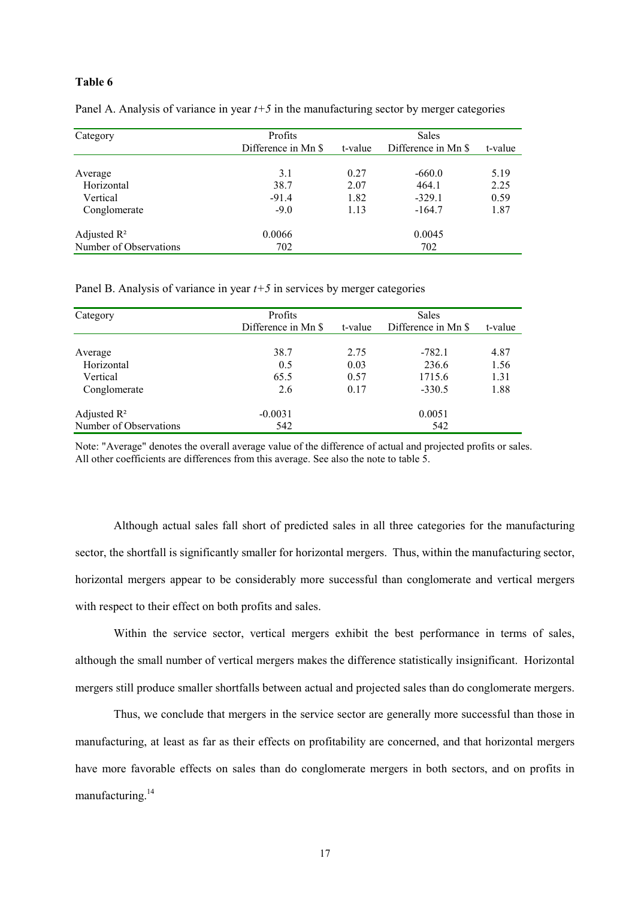# **Table 6**

| Category                | Profits             |         | <b>Sales</b>        |         |
|-------------------------|---------------------|---------|---------------------|---------|
|                         | Difference in Mn \$ | t-value | Difference in Mn \$ | t-value |
|                         |                     |         |                     |         |
| Average                 | 3.1                 | 0.27    | $-660.0$            | 5.19    |
| Horizontal              | 38.7                | 2.07    | 464.1               | 2.25    |
| Vertical                | $-91.4$             | 1.82    | $-329.1$            | 0.59    |
| Conglomerate            | $-9.0$              | 1.13    | $-164.7$            | 1.87    |
| Adjusted $\mathbb{R}^2$ | 0.0066              |         | 0.0045              |         |
| Number of Observations  | 702                 |         | 702                 |         |

Panel A. Analysis of variance in year  $t+5$  in the manufacturing sector by merger categories

Panel B. Analysis of variance in year  $t+5$  in services by merger categories

| Category                | Profits             |         | Sales               |         |  |  |  |
|-------------------------|---------------------|---------|---------------------|---------|--|--|--|
|                         | Difference in Mn \$ | t-value | Difference in Mn \$ | t-value |  |  |  |
|                         |                     |         |                     |         |  |  |  |
| Average                 | 38.7                | 2.75    | $-782.1$            | 4.87    |  |  |  |
| Horizontal              | 0.5                 | 0.03    | 236.6               | 1.56    |  |  |  |
| Vertical                | 65.5                | 0.57    | 1715.6              | 1.31    |  |  |  |
| Conglomerate            | 2.6                 | 0.17    | $-330.5$            | 1.88    |  |  |  |
| Adjusted $\mathbb{R}^2$ | $-0.0031$           |         | 0.0051              |         |  |  |  |
| Number of Observations  | 542                 |         | 542                 |         |  |  |  |

Note: "Average" denotes the overall average value of the difference of actual and projected profits or sales. All other coefficients are differences from this average. See also the note to table 5.

Although actual sales fall short of predicted sales in all three categories for the manufacturing sector, the shortfall is significantly smaller for horizontal mergers. Thus, within the manufacturing sector, horizontal mergers appear to be considerably more successful than conglomerate and vertical mergers with respect to their effect on both profits and sales.

Within the service sector, vertical mergers exhibit the best performance in terms of sales, although the small number of vertical mergers makes the difference statistically insignificant. Horizontal mergers still produce smaller shortfalls between actual and projected sales than do conglomerate mergers.

Thus, we conclude that mergers in the service sector are generally more successful than those in manufacturing, at least as far as their effects on profitability are concerned, and that horizontal mergers have more favorable effects on sales than do conglomerate mergers in both sectors, and on profits in manufacturing.<sup>14</sup>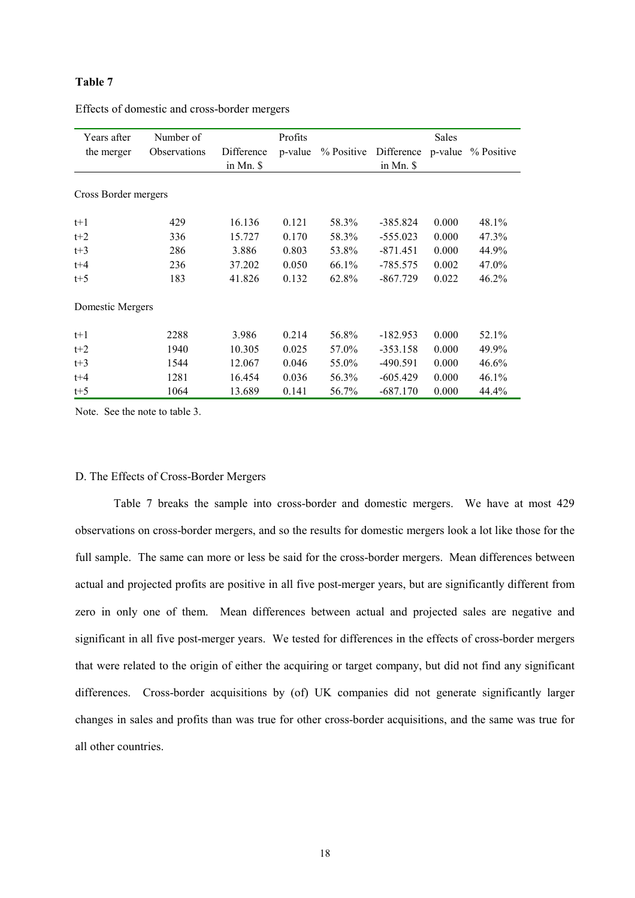## **Table 7**

| Years after          | Number of           |            | Profits |            |            | Sales |                    |
|----------------------|---------------------|------------|---------|------------|------------|-------|--------------------|
| the merger           | <b>Observations</b> | Difference | p-value | % Positive | Difference |       | p-value % Positive |
|                      |                     | in Mn. \$  |         |            | in Mn. \$  |       |                    |
|                      |                     |            |         |            |            |       |                    |
| Cross Border mergers |                     |            |         |            |            |       |                    |
| $t+1$                | 429                 | 16.136     | 0.121   | 58.3%      | $-385.824$ | 0.000 | 48.1%              |
| $t+2$                | 336                 | 15.727     | 0.170   | 58.3%      | $-555.023$ | 0.000 | 47.3%              |
| $t+3$                | 286                 | 3.886      | 0.803   | 53.8%      | $-871.451$ | 0.000 | 44.9%              |
| $t + 4$              | 236                 | 37.202     | 0.050   | 66.1%      | $-785.575$ | 0.002 | 47.0%              |
| $t+5$                | 183                 | 41.826     | 0.132   | 62.8%      | $-867.729$ | 0.022 | 46.2%              |
| Domestic Mergers     |                     |            |         |            |            |       |                    |
| $t+1$                | 2288                | 3.986      | 0.214   | 56.8%      | $-182.953$ | 0.000 | 52.1%              |
| $t+2$                | 1940                | 10.305     | 0.025   | 57.0%      | $-353.158$ | 0.000 | 49.9%              |
| $t+3$                | 1544                | 12.067     | 0.046   | 55.0%      | $-490.591$ | 0.000 | 46.6%              |
| $t + 4$              | 1281                | 16.454     | 0.036   | 56.3%      | $-605.429$ | 0.000 | 46.1%              |
| $t+5$                | 1064                | 13.689     | 0.141   | 56.7%      | $-687.170$ | 0.000 | 44.4%              |

Effects of domestic and cross-border mergers

Note. See the note to table 3.

## D. The Effects of Cross-Border Mergers

Table 7 breaks the sample into cross-border and domestic mergers. We have at most 429 observations on cross-border mergers, and so the results for domestic mergers look a lot like those for the full sample. The same can more or less be said for the cross-border mergers. Mean differences between actual and projected profits are positive in all five post-merger years, but are significantly different from zero in only one of them. Mean differences between actual and projected sales are negative and significant in all five post-merger years. We tested for differences in the effects of cross-border mergers that were related to the origin of either the acquiring or target company, but did not find any significant differences. Cross-border acquisitions by (of) UK companies did not generate significantly larger changes in sales and profits than was true for other cross-border acquisitions, and the same was true for all other countries.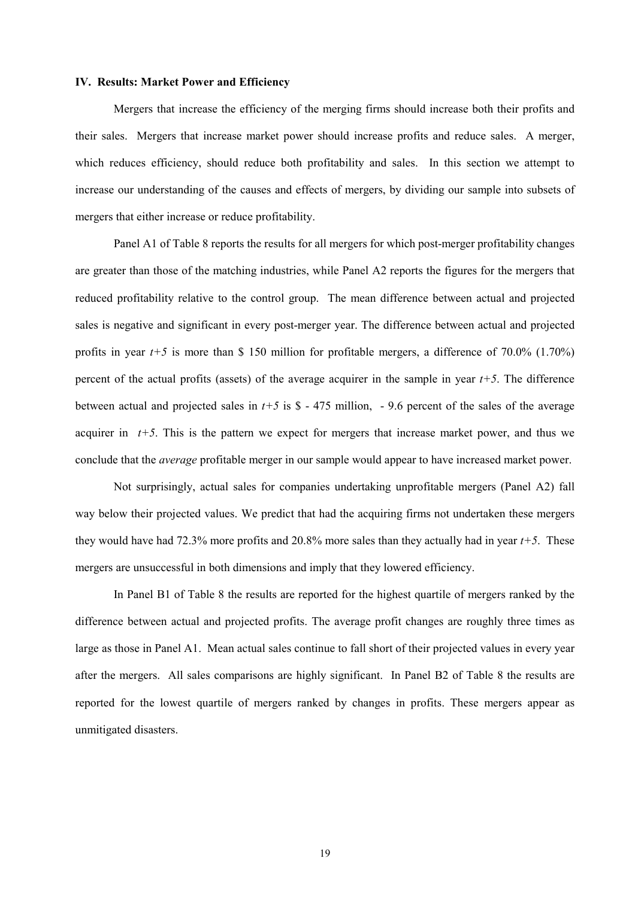#### **IV. Results: Market Power and Efficiency**

Mergers that increase the efficiency of the merging firms should increase both their profits and their sales. Mergers that increase market power should increase profits and reduce sales. A merger, which reduces efficiency, should reduce both profitability and sales. In this section we attempt to increase our understanding of the causes and effects of mergers, by dividing our sample into subsets of mergers that either increase or reduce profitability.

Panel A1 of Table 8 reports the results for all mergers for which post-merger profitability changes are greater than those of the matching industries, while Panel A2 reports the figures for the mergers that reduced profitability relative to the control group. The mean difference between actual and projected sales is negative and significant in every post-merger year. The difference between actual and projected profits in year  $t+5$  is more than \$ 150 million for profitable mergers, a difference of 70.0% (1.70%) percent of the actual profits (assets) of the average acquirer in the sample in year  $t+5$ . The difference between actual and projected sales in  $t+5$  is  $\frac{1}{5}$  - 475 million, - 9.6 percent of the sales of the average acquirer in  $t+5$ . This is the pattern we expect for mergers that increase market power, and thus we conclude that the *average* profitable merger in our sample would appear to have increased market power.

Not surprisingly, actual sales for companies undertaking unprofitable mergers (Panel A2) fall way below their projected values. We predict that had the acquiring firms not undertaken these mergers they would have had 72.3% more profits and 20.8% more sales than they actually had in year *t+5*. These mergers are unsuccessful in both dimensions and imply that they lowered efficiency.

In Panel B1 of Table 8 the results are reported for the highest quartile of mergers ranked by the difference between actual and projected profits. The average profit changes are roughly three times as large as those in Panel A1. Mean actual sales continue to fall short of their projected values in every year after the mergers. All sales comparisons are highly significant. In Panel B2 of Table 8 the results are reported for the lowest quartile of mergers ranked by changes in profits. These mergers appear as unmitigated disasters.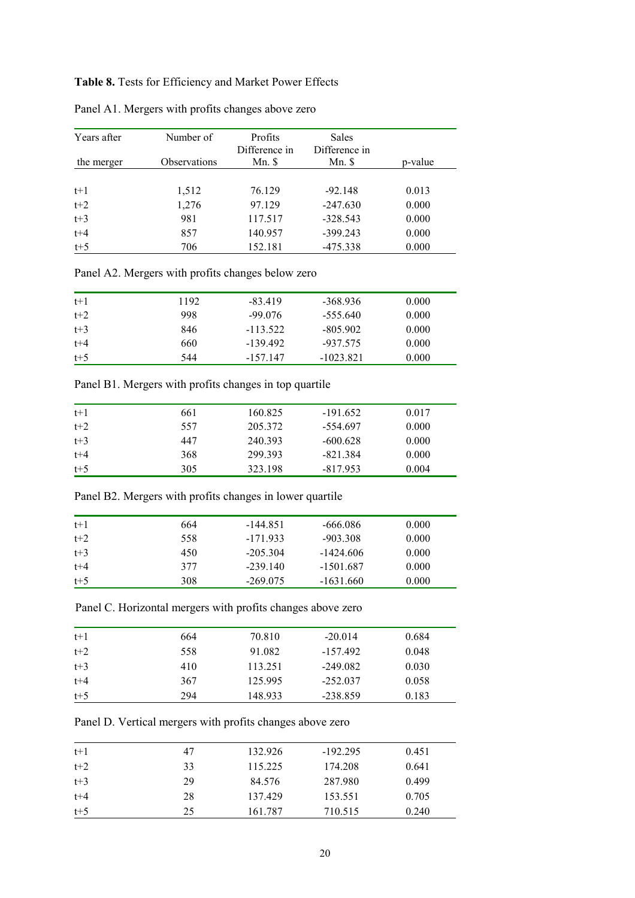## **Table 8.** Tests for Efficiency and Market Power Effects

| Years after | Number of           | Profits<br>Difference in | <b>Sales</b><br>Difference in |         |
|-------------|---------------------|--------------------------|-------------------------------|---------|
| the merger  | <b>Observations</b> | $Mn.$ \$                 | Mn. \$                        | p-value |
|             |                     |                          |                               |         |
| $t+1$       | 1,512               | 76.129                   | $-92.148$                     | 0.013   |
| $t+2$       | 1,276               | 97.129                   | $-247.630$                    | 0.000   |
| $t+3$       | 981                 | 117.517                  | $-328.543$                    | 0.000   |
| $t + 4$     | 857                 | 140.957                  | $-399.243$                    | 0.000   |
| $t+5$       | 706                 | 152.181                  | $-475.338$                    | 0.000   |

Panel A1. Mergers with profits changes above zero

Panel A2. Mergers with profits changes below zero

| $t+1$   | 1192 | $-83.419$  | -368.936    | 0.000 |
|---------|------|------------|-------------|-------|
| $t+2$   | 998  | $-99.076$  | $-555.640$  | 0.000 |
| $t+3$   | 846  | $-113.522$ | $-805.902$  | 0.000 |
| $t + 4$ | 660  | $-139.492$ | -937.575    | 0.000 |
| $t+5$   | 544  | -157 147   | $-1023.821$ | 0.000 |

| Panel B1. Mergers with profits changes in top quartile |  |  |
|--------------------------------------------------------|--|--|
|                                                        |  |  |

| $t+1$   | 661 | 160.825 | $-191.652$ | 0.017 |
|---------|-----|---------|------------|-------|
| $t+2$   | 557 | 205.372 | -554.697   | 0.000 |
| $t+3$   | 447 | 240.393 | $-600.628$ | 0.000 |
| $t + 4$ | 368 | 299.393 | $-821.384$ | 0.000 |
| $t+5$   | 305 | 323.198 | $-817.953$ | 0.004 |
|         |     |         |            |       |

Panel B2. Mergers with profits changes in lower quartile

| $t+1$   | 664 | $-144.851$ | -666.086    | 0.000 |
|---------|-----|------------|-------------|-------|
| $t+2$   | 558 | $-171.933$ | $-903.308$  | 0.000 |
| $t+3$   | 450 | $-205.304$ | $-1424.606$ | 0.000 |
| $t + 4$ | 377 | $-239140$  | $-1501.687$ | 0.000 |
| $t+5$   | 308 | $-269.075$ | $-1631.660$ | 0.000 |
|         |     |            |             |       |

Panel C. Horizontal mergers with profits changes above zero

| $t+1$   | 664 | 70.810  | $-20.014$  | 0.684 |
|---------|-----|---------|------------|-------|
| $t+2$   | 558 | 91.082  | -157.492   | 0.048 |
| $t+3$   | 410 | 113.251 | $-249.082$ | 0.030 |
| $t + 4$ | 367 | 125.995 | $-252.037$ | 0.058 |
| $t+5$   | 294 | 148.933 | $-238.859$ | 0.183 |

| Panel D. Vertical mergers with profits changes above zero |  |  |  |  |  |
|-----------------------------------------------------------|--|--|--|--|--|
|-----------------------------------------------------------|--|--|--|--|--|

| 47 | 132.926 | $-192.295$ | 0.451 |
|----|---------|------------|-------|
| 33 | 115.225 | 174.208    | 0.641 |
| 29 | 84.576  | 287.980    | 0.499 |
| 28 | 137.429 | 153.551    | 0.705 |
| 25 | 161.787 | 710.515    | 0.240 |
|    |         |            |       |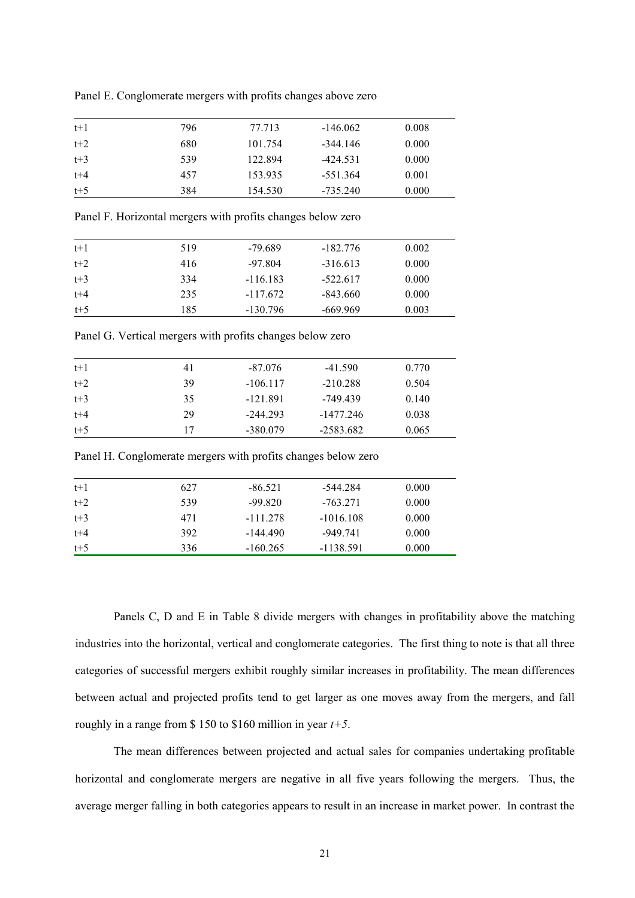| $t+1$   | 796 | 77.713  | $-146.062$ | 0.008 |
|---------|-----|---------|------------|-------|
| $t+2$   | 680 | 101.754 | $-344.146$ | 0.000 |
| $t+3$   | 539 | 122.894 | $-424.531$ | 0.000 |
| $t + 4$ | 457 | 153.935 | -551.364   | 0.001 |
| $t+5$   | 384 | 154.530 | -735.240   | 0.000 |

Panel E. Conglomerate mergers with profits changes above zero

Panel F. Horizontal mergers with profits changes below zero

| $t+1$   | 519 | $-79.689$  | $-182.776$ | 0.002 |
|---------|-----|------------|------------|-------|
| $t+2$   | 416 | $-97.804$  | $-316.613$ | 0.000 |
| $t+3$   | 334 | $-116.183$ | $-522.617$ | 0.000 |
| $t + 4$ | 235 | $-117.672$ | $-843.660$ | 0.000 |
| $t+5$   | 185 | $-130.796$ | $-669.969$ | 0.003 |

Panel G. Vertical mergers with profits changes below zero

| $t+1$   | 41 | $-87.076$  | $-41.590$   | 0.770 |
|---------|----|------------|-------------|-------|
| $t+2$   | 39 | $-106.117$ | $-210.288$  | 0.504 |
| $t+3$   | 35 | $-121.891$ | -749.439    | 0.140 |
| $t + 4$ | 29 | $-244.293$ | $-1477.246$ | 0.038 |
| $t+5$   | 17 | $-380.079$ | -2583.682   | 0.065 |
|         |    |            |             |       |

Panel H. Conglomerate mergers with profits changes below zero

| $t+1$   | 627 | $-86.521$  | $-544.284$  | 0.000 |
|---------|-----|------------|-------------|-------|
| $t+2$   | 539 | $-99.820$  | $-763.271$  | 0.000 |
| $t+3$   | 471 | $-111.278$ | $-1016.108$ | 0.000 |
| $t + 4$ | 392 | $-144.490$ | $-949.741$  | 0.000 |
| $t+5$   | 336 | $-160.265$ | $-1138.591$ | 0.000 |

Panels C, D and E in Table 8 divide mergers with changes in profitability above the matching industries into the horizontal, vertical and conglomerate categories. The first thing to note is that all three categories of successful mergers exhibit roughly similar increases in profitability. The mean differences between actual and projected profits tend to get larger as one moves away from the mergers, and fall roughly in a range from \$ 150 to \$160 million in year *t+5*.

The mean differences between projected and actual sales for companies undertaking profitable horizontal and conglomerate mergers are negative in all five years following the mergers. Thus, the average merger falling in both categories appears to result in an increase in market power. In contrast the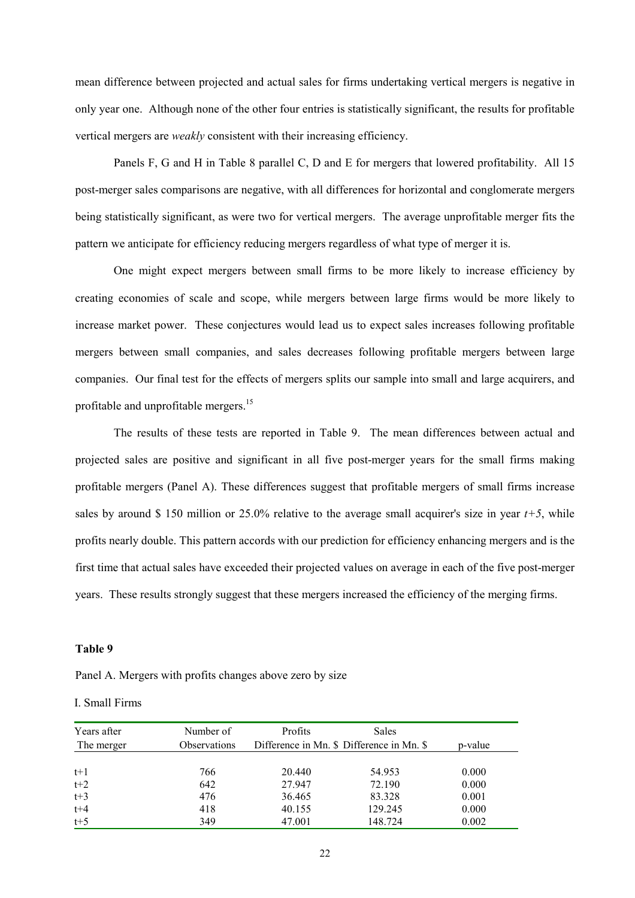mean difference between projected and actual sales for firms undertaking vertical mergers is negative in only year one. Although none of the other four entries is statistically significant, the results for profitable vertical mergers are *weakly* consistent with their increasing efficiency.

Panels F, G and H in Table 8 parallel C, D and E for mergers that lowered profitability. All 15 post-merger sales comparisons are negative, with all differences for horizontal and conglomerate mergers being statistically significant, as were two for vertical mergers. The average unprofitable merger fits the pattern we anticipate for efficiency reducing mergers regardless of what type of merger it is.

One might expect mergers between small firms to be more likely to increase efficiency by creating economies of scale and scope, while mergers between large firms would be more likely to increase market power. These conjectures would lead us to expect sales increases following profitable mergers between small companies, and sales decreases following profitable mergers between large companies. Our final test for the effects of mergers splits our sample into small and large acquirers, and profitable and unprofitable mergers.15

The results of these tests are reported in Table 9. The mean differences between actual and projected sales are positive and significant in all five post-merger years for the small firms making profitable mergers (Panel A). These differences suggest that profitable mergers of small firms increase sales by around \$ 150 million or  $25.0\%$  relative to the average small acquirer's size in year  $t+5$ , while profits nearly double. This pattern accords with our prediction for efficiency enhancing mergers and is the first time that actual sales have exceeded their projected values on average in each of the five post-merger years. These results strongly suggest that these mergers increased the efficiency of the merging firms.

## **Table 9**

Panel A. Mergers with profits changes above zero by size

#### I. Small Firms

| Years after | Number of           | Profits                                   | Sales   |         |
|-------------|---------------------|-------------------------------------------|---------|---------|
| The merger  | <b>Observations</b> | Difference in Mn. \$ Difference in Mn. \$ |         | p-value |
|             |                     |                                           |         |         |
| $t+1$       | 766                 | 20.440                                    | 54.953  | 0.000   |
| $t+2$       | 642                 | 27.947                                    | 72.190  | 0.000   |
| $t+3$       | 476                 | 36.465                                    | 83.328  | 0.001   |
| $t + 4$     | 418                 | 40.155                                    | 129.245 | 0.000   |
| $t+5$       | 349                 | 47.001                                    | 148.724 | 0.002   |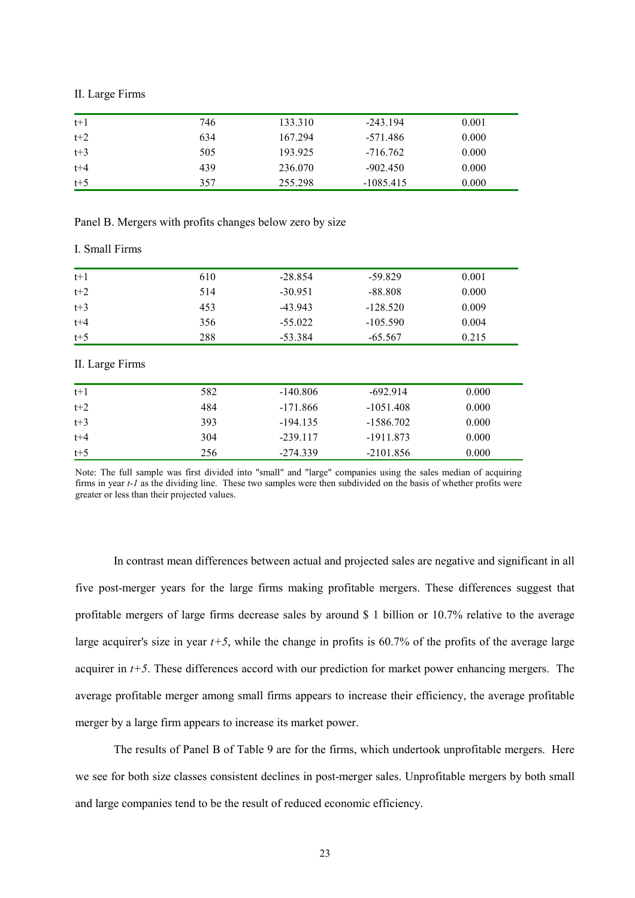II. Large Firms

I. Small Firms

greater or less than their projected values.

| $t+1$ | 746 | 133.310 | $-243.194$  | 0.001 |
|-------|-----|---------|-------------|-------|
| $t+2$ | 634 | 167.294 | -571.486    | 0.000 |
| $t+3$ | 505 | 193.925 | $-716.762$  | 0.000 |
| $t+4$ | 439 | 236.070 | $-902.450$  | 0.000 |
| $t+5$ | 357 | 255.298 | $-1085.415$ | 0.000 |

Panel B. Mergers with profits changes below zero by size

| $t+1$   | 610 | $-28.854$  | $-59.829$   | 0.001 |
|---------|-----|------------|-------------|-------|
| $t+2$   | 514 | $-30.951$  | $-88.808$   | 0.000 |
| $t+3$   | 453 | $-43.943$  | $-128.520$  | 0.009 |
| $t + 4$ | 356 | $-55.022$  | $-105.590$  | 0.004 |
| $t+5$   | 288 | $-53.384$  | $-65.567$   | 0.215 |
|         |     |            |             |       |
|         |     |            |             |       |
| $t+1$   | 582 | $-140.806$ | $-692.914$  | 0.000 |
| $t+2$   | 484 | $-171.866$ | $-1051.408$ | 0.000 |
| $t+3$   | 393 | $-194.135$ | $-1586.702$ | 0.000 |
| $t + 4$ | 304 | $-239.117$ | $-1911.873$ | 0.000 |

Note: The full sample was first divided into "small" and "large" companies using the sales median of acquiring firms in year *t-1* as the dividing line. These two samples were then subdivided on the basis of whether profits were

In contrast mean differences between actual and projected sales are negative and significant in all five post-merger years for the large firms making profitable mergers. These differences suggest that profitable mergers of large firms decrease sales by around \$ 1 billion or 10.7% relative to the average large acquirer's size in year  $t+5$ , while the change in profits is 60.7% of the profits of the average large acquirer in *t+5*. These differences accord with our prediction for market power enhancing mergers. The average profitable merger among small firms appears to increase their efficiency, the average profitable merger by a large firm appears to increase its market power.

The results of Panel B of Table 9 are for the firms, which undertook unprofitable mergers. Here we see for both size classes consistent declines in post-merger sales. Unprofitable mergers by both small and large companies tend to be the result of reduced economic efficiency.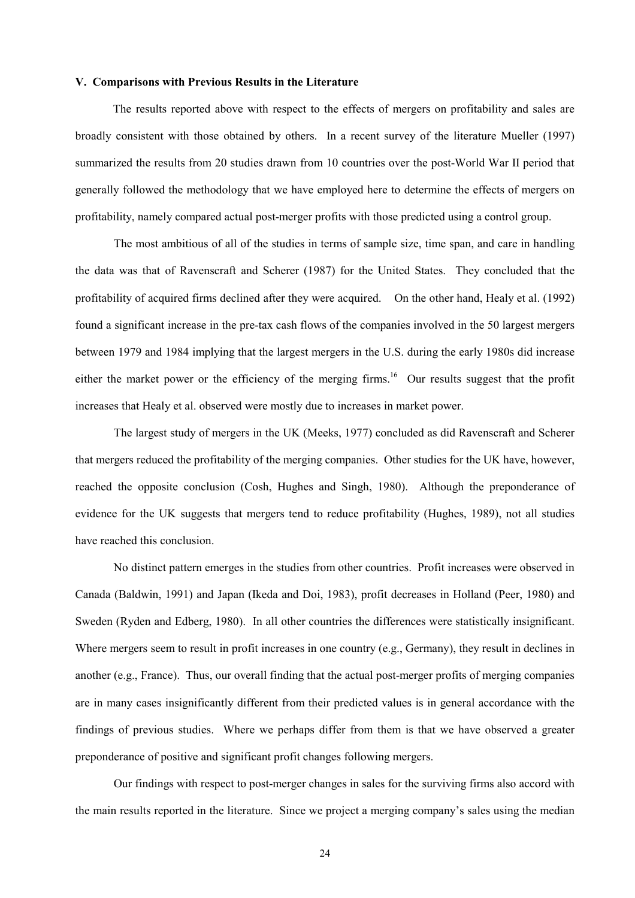## **V. Comparisons with Previous Results in the Literature**

The results reported above with respect to the effects of mergers on profitability and sales are broadly consistent with those obtained by others. In a recent survey of the literature Mueller (1997) summarized the results from 20 studies drawn from 10 countries over the post-World War II period that generally followed the methodology that we have employed here to determine the effects of mergers on profitability, namely compared actual post-merger profits with those predicted using a control group.

The most ambitious of all of the studies in terms of sample size, time span, and care in handling the data was that of Ravenscraft and Scherer (1987) for the United States. They concluded that the profitability of acquired firms declined after they were acquired. On the other hand, Healy et al. (1992) found a significant increase in the pre-tax cash flows of the companies involved in the 50 largest mergers between 1979 and 1984 implying that the largest mergers in the U.S. during the early 1980s did increase either the market power or the efficiency of the merging firms.<sup>16</sup> Our results suggest that the profit increases that Healy et al. observed were mostly due to increases in market power.

The largest study of mergers in the UK (Meeks, 1977) concluded as did Ravenscraft and Scherer that mergers reduced the profitability of the merging companies. Other studies for the UK have, however, reached the opposite conclusion (Cosh, Hughes and Singh, 1980). Although the preponderance of evidence for the UK suggests that mergers tend to reduce profitability (Hughes, 1989), not all studies have reached this conclusion.

No distinct pattern emerges in the studies from other countries. Profit increases were observed in Canada (Baldwin, 1991) and Japan (Ikeda and Doi, 1983), profit decreases in Holland (Peer, 1980) and Sweden (Ryden and Edberg, 1980). In all other countries the differences were statistically insignificant. Where mergers seem to result in profit increases in one country (e.g., Germany), they result in declines in another (e.g., France). Thus, our overall finding that the actual post-merger profits of merging companies are in many cases insignificantly different from their predicted values is in general accordance with the findings of previous studies. Where we perhaps differ from them is that we have observed a greater preponderance of positive and significant profit changes following mergers.

Our findings with respect to post-merger changes in sales for the surviving firms also accord with the main results reported in the literature. Since we project a merging company's sales using the median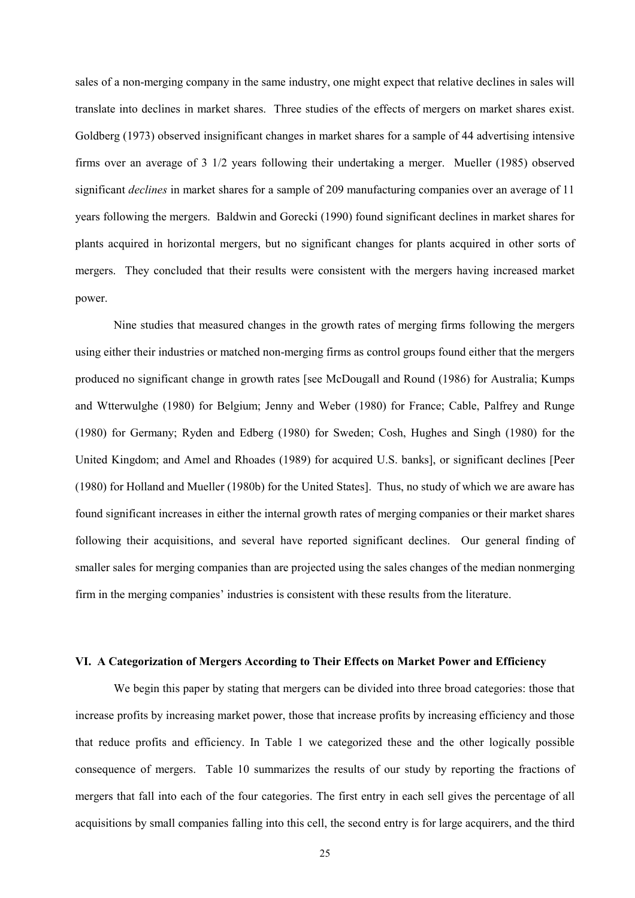sales of a non-merging company in the same industry, one might expect that relative declines in sales will translate into declines in market shares. Three studies of the effects of mergers on market shares exist. Goldberg (1973) observed insignificant changes in market shares for a sample of 44 advertising intensive firms over an average of 3 1/2 years following their undertaking a merger. Mueller (1985) observed significant *declines* in market shares for a sample of 209 manufacturing companies over an average of 11 years following the mergers. Baldwin and Gorecki (1990) found significant declines in market shares for plants acquired in horizontal mergers, but no significant changes for plants acquired in other sorts of mergers. They concluded that their results were consistent with the mergers having increased market power.

Nine studies that measured changes in the growth rates of merging firms following the mergers using either their industries or matched non-merging firms as control groups found either that the mergers produced no significant change in growth rates [see McDougall and Round (1986) for Australia; Kumps and Wtterwulghe (1980) for Belgium; Jenny and Weber (1980) for France; Cable, Palfrey and Runge (1980) for Germany; Ryden and Edberg (1980) for Sweden; Cosh, Hughes and Singh (1980) for the United Kingdom; and Amel and Rhoades (1989) for acquired U.S. banks], or significant declines [Peer (1980) for Holland and Mueller (1980b) for the United States]. Thus, no study of which we are aware has found significant increases in either the internal growth rates of merging companies or their market shares following their acquisitions, and several have reported significant declines. Our general finding of smaller sales for merging companies than are projected using the sales changes of the median nonmerging firm in the merging companies' industries is consistent with these results from the literature.

#### **VI. A Categorization of Mergers According to Their Effects on Market Power and Efficiency**

We begin this paper by stating that mergers can be divided into three broad categories: those that increase profits by increasing market power, those that increase profits by increasing efficiency and those that reduce profits and efficiency. In Table 1 we categorized these and the other logically possible consequence of mergers. Table 10 summarizes the results of our study by reporting the fractions of mergers that fall into each of the four categories. The first entry in each sell gives the percentage of all acquisitions by small companies falling into this cell, the second entry is for large acquirers, and the third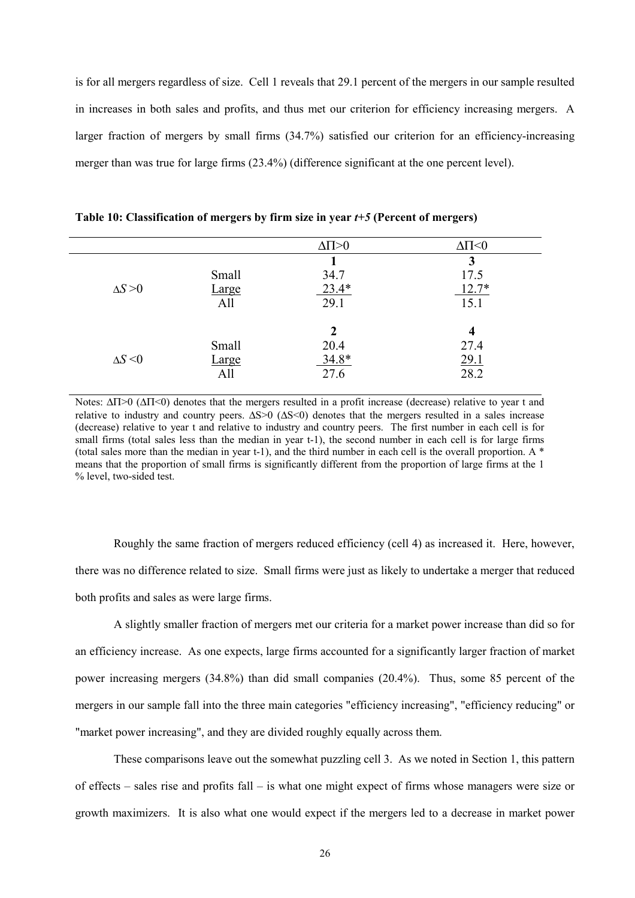is for all mergers regardless of size. Cell 1 reveals that 29.1 percent of the mergers in our sample resulted in increases in both sales and profits, and thus met our criterion for efficiency increasing mergers. A larger fraction of mergers by small firms (34.7%) satisfied our criterion for an efficiency-increasing merger than was true for large firms (23.4%) (difference significant at the one percent level).

|                   |                              | $\Delta \Pi$ > 0                          | $\Delta \Pi \leq 0$          |
|-------------------|------------------------------|-------------------------------------------|------------------------------|
| $\Delta S > 0$    | Small<br>Large<br>All        | 34.7<br>$23.4*$<br>29.1                   | 3<br>17.5<br>$12.7*$<br>15.1 |
| $\Delta S \leq 0$ | Small<br><b>Large</b><br>All | $\overline{2}$<br>20.4<br>$34.8*$<br>27.6 | 4<br>27.4<br>29.1<br>28.2    |

**Table 10: Classification of mergers by firm size in year** *t+5* **(Percent of mergers)** 

Notes: ΔΠ>0 (ΔΠ<0) denotes that the mergers resulted in a profit increase (decrease) relative to year t and relative to industry and country peers. ∆S>0 (∆S<0) denotes that the mergers resulted in a sales increase (decrease) relative to year t and relative to industry and country peers. The first number in each cell is for small firms (total sales less than the median in year t-1), the second number in each cell is for large firms (total sales more than the median in year t-1), and the third number in each cell is the overall proportion. A  $*$ means that the proportion of small firms is significantly different from the proportion of large firms at the 1 % level, two-sided test.

Roughly the same fraction of mergers reduced efficiency (cell 4) as increased it. Here, however, there was no difference related to size. Small firms were just as likely to undertake a merger that reduced both profits and sales as were large firms.

A slightly smaller fraction of mergers met our criteria for a market power increase than did so for an efficiency increase. As one expects, large firms accounted for a significantly larger fraction of market power increasing mergers (34.8%) than did small companies (20.4%). Thus, some 85 percent of the mergers in our sample fall into the three main categories "efficiency increasing", "efficiency reducing" or "market power increasing", and they are divided roughly equally across them.

These comparisons leave out the somewhat puzzling cell 3. As we noted in Section 1, this pattern of effects  $-$  sales rise and profits fall  $-$  is what one might expect of firms whose managers were size or growth maximizers. It is also what one would expect if the mergers led to a decrease in market power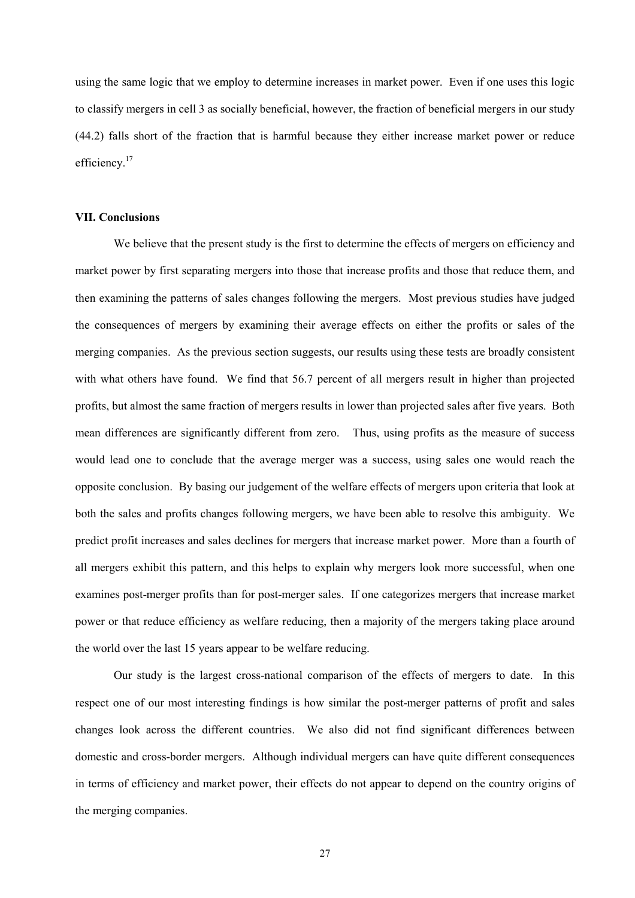using the same logic that we employ to determine increases in market power. Even if one uses this logic to classify mergers in cell 3 as socially beneficial, however, the fraction of beneficial mergers in our study (44.2) falls short of the fraction that is harmful because they either increase market power or reduce efficiency.<sup>17</sup>

## **VII. Conclusions**

We believe that the present study is the first to determine the effects of mergers on efficiency and market power by first separating mergers into those that increase profits and those that reduce them, and then examining the patterns of sales changes following the mergers. Most previous studies have judged the consequences of mergers by examining their average effects on either the profits or sales of the merging companies. As the previous section suggests, our results using these tests are broadly consistent with what others have found. We find that 56.7 percent of all mergers result in higher than projected profits, but almost the same fraction of mergers results in lower than projected sales after five years. Both mean differences are significantly different from zero. Thus, using profits as the measure of success would lead one to conclude that the average merger was a success, using sales one would reach the opposite conclusion. By basing our judgement of the welfare effects of mergers upon criteria that look at both the sales and profits changes following mergers, we have been able to resolve this ambiguity. We predict profit increases and sales declines for mergers that increase market power. More than a fourth of all mergers exhibit this pattern, and this helps to explain why mergers look more successful, when one examines post-merger profits than for post-merger sales. If one categorizes mergers that increase market power or that reduce efficiency as welfare reducing, then a majority of the mergers taking place around the world over the last 15 years appear to be welfare reducing.

Our study is the largest cross-national comparison of the effects of mergers to date. In this respect one of our most interesting findings is how similar the post-merger patterns of profit and sales changes look across the different countries. We also did not find significant differences between domestic and cross-border mergers. Although individual mergers can have quite different consequences in terms of efficiency and market power, their effects do not appear to depend on the country origins of the merging companies.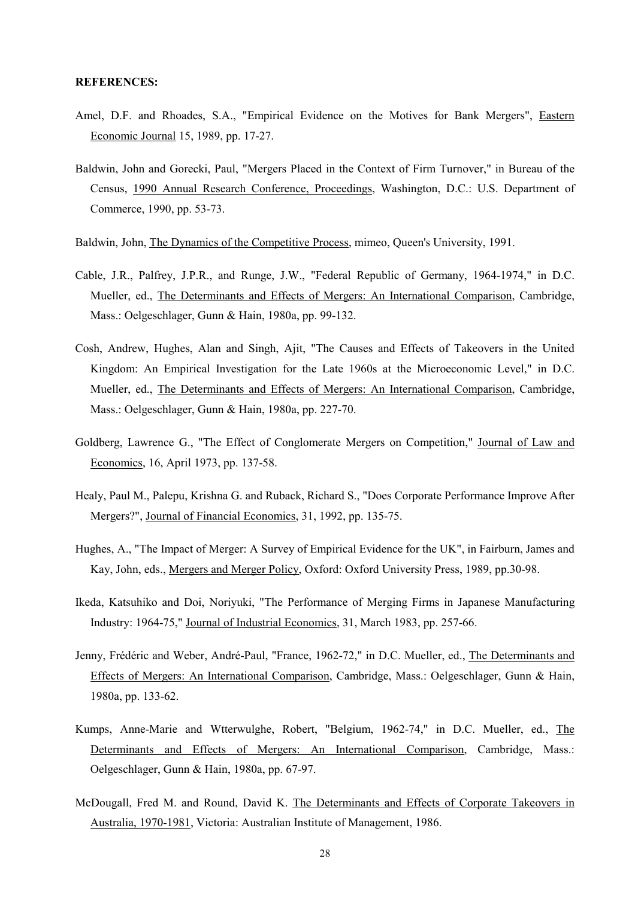#### **REFERENCES:**

- Amel, D.F. and Rhoades, S.A., "Empirical Evidence on the Motives for Bank Mergers", Eastern Economic Journal 15, 1989, pp. 17-27.
- Baldwin, John and Gorecki, Paul, "Mergers Placed in the Context of Firm Turnover," in Bureau of the Census, 1990 Annual Research Conference, Proceedings, Washington, D.C.: U.S. Department of Commerce, 1990, pp. 53-73.
- Baldwin, John, The Dynamics of the Competitive Process, mimeo, Queen's University, 1991.
- Cable, J.R., Palfrey, J.P.R., and Runge, J.W., "Federal Republic of Germany, 1964-1974," in D.C. Mueller, ed., The Determinants and Effects of Mergers: An International Comparison, Cambridge, Mass.: Oelgeschlager, Gunn & Hain, 1980a, pp. 99-132.
- Cosh, Andrew, Hughes, Alan and Singh, Ajit, "The Causes and Effects of Takeovers in the United Kingdom: An Empirical Investigation for the Late 1960s at the Microeconomic Level," in D.C. Mueller, ed., The Determinants and Effects of Mergers: An International Comparison, Cambridge, Mass.: Oelgeschlager, Gunn & Hain, 1980a, pp. 227-70.
- Goldberg, Lawrence G., "The Effect of Conglomerate Mergers on Competition," Journal of Law and Economics, 16, April 1973, pp. 137-58.
- Healy, Paul M., Palepu, Krishna G. and Ruback, Richard S., "Does Corporate Performance Improve After Mergers?", Journal of Financial Economics, 31, 1992, pp. 135-75.
- Hughes, A., "The Impact of Merger: A Survey of Empirical Evidence for the UK", in Fairburn, James and Kay, John, eds., Mergers and Merger Policy, Oxford: Oxford University Press, 1989, pp.30-98.
- Ikeda, Katsuhiko and Doi, Noriyuki, "The Performance of Merging Firms in Japanese Manufacturing Industry: 1964-75," Journal of Industrial Economics, 31, March 1983, pp. 257-66.
- Jenny, Frédéric and Weber, André-Paul, "France, 1962-72," in D.C. Mueller, ed., The Determinants and Effects of Mergers: An International Comparison, Cambridge, Mass.: Oelgeschlager, Gunn & Hain, 1980a, pp. 133-62.
- Kumps, Anne-Marie and Wtterwulghe, Robert, "Belgium, 1962-74," in D.C. Mueller, ed., The Determinants and Effects of Mergers: An International Comparison, Cambridge, Mass.: Oelgeschlager, Gunn & Hain, 1980a, pp. 67-97.
- McDougall, Fred M. and Round, David K. The Determinants and Effects of Corporate Takeovers in Australia, 1970-1981, Victoria: Australian Institute of Management, 1986.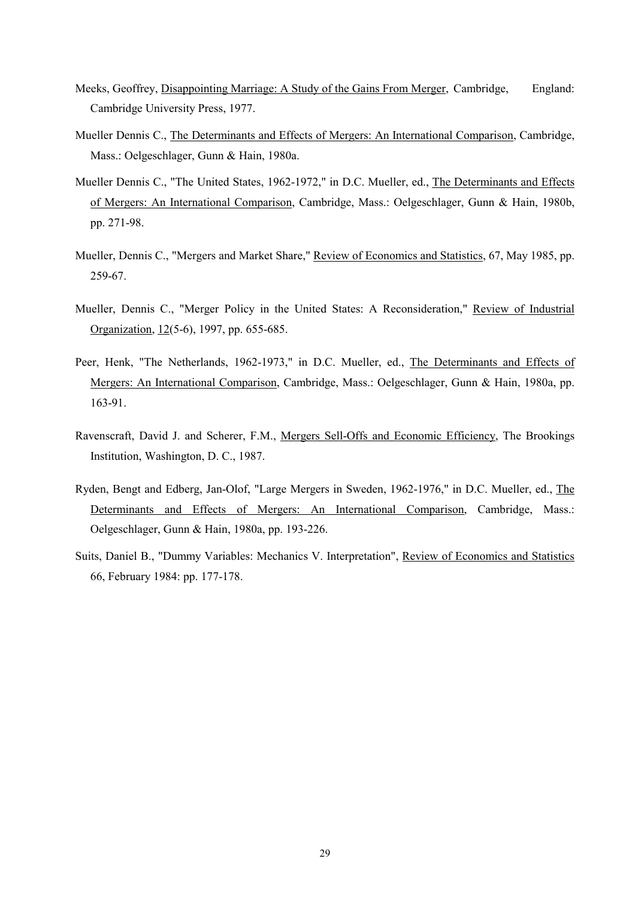- Meeks, Geoffrey, Disappointing Marriage: A Study of the Gains From Merger, Cambridge, England: Cambridge University Press, 1977.
- Mueller Dennis C., The Determinants and Effects of Mergers: An International Comparison, Cambridge, Mass.: Oelgeschlager, Gunn & Hain, 1980a.
- Mueller Dennis C., "The United States, 1962-1972," in D.C. Mueller, ed., The Determinants and Effects of Mergers: An International Comparison, Cambridge, Mass.: Oelgeschlager, Gunn & Hain, 1980b, pp. 271-98.
- Mueller, Dennis C., "Mergers and Market Share," Review of Economics and Statistics, 67, May 1985, pp. 259-67.
- Mueller, Dennis C., "Merger Policy in the United States: A Reconsideration," Review of Industrial Organization, 12(5-6), 1997, pp. 655-685.
- Peer, Henk, "The Netherlands, 1962-1973," in D.C. Mueller, ed., The Determinants and Effects of Mergers: An International Comparison, Cambridge, Mass.: Oelgeschlager, Gunn & Hain, 1980a, pp. 163-91.
- Ravenscraft, David J. and Scherer, F.M., Mergers Sell-Offs and Economic Efficiency, The Brookings Institution, Washington, D. C., 1987.
- Ryden, Bengt and Edberg, Jan-Olof, "Large Mergers in Sweden, 1962-1976," in D.C. Mueller, ed., The Determinants and Effects of Mergers: An International Comparison, Cambridge, Mass.: Oelgeschlager, Gunn & Hain, 1980a, pp. 193-226.
- Suits, Daniel B., "Dummy Variables: Mechanics V. Interpretation", Review of Economics and Statistics 66, February 1984: pp. 177-178.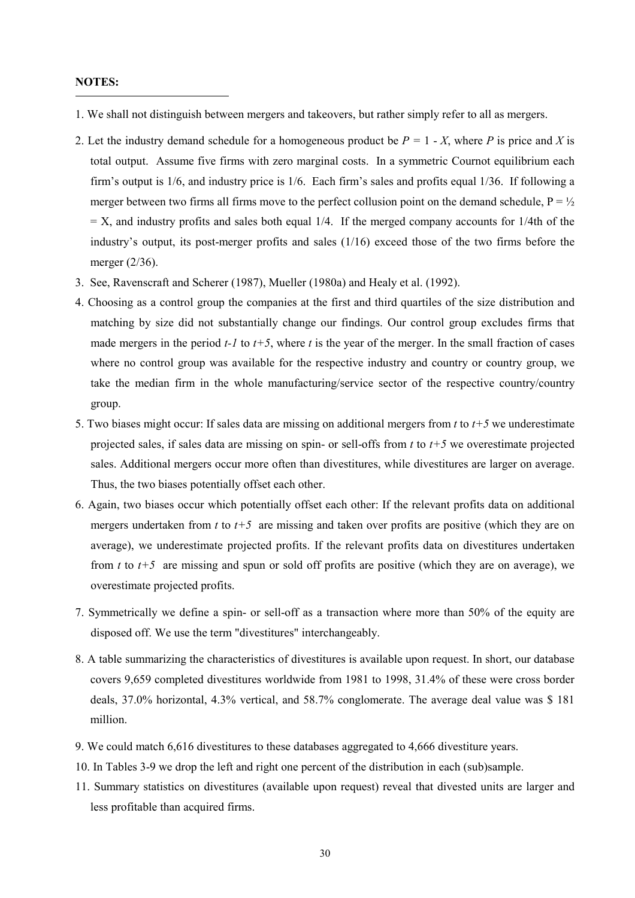## **NOTES:**

 $\overline{\phantom{a}}$ 

- 1. We shall not distinguish between mergers and takeovers, but rather simply refer to all as mergers.
- 2. Let the industry demand schedule for a homogeneous product be  $P = 1 X$ , where P is price and X is total output. Assume five firms with zero marginal costs. In a symmetric Cournot equilibrium each firm's output is 1/6, and industry price is 1/6. Each firm's sales and profits equal 1/36. If following a merger between two firms all firms move to the perfect collusion point on the demand schedule,  $P = \frac{1}{2}$  $=$  X, and industry profits and sales both equal 1/4. If the merged company accounts for 1/4th of the industry's output, its post-merger profits and sales  $(1/16)$  exceed those of the two firms before the merger (2/36).
- 3. See, Ravenscraft and Scherer (1987), Mueller (1980a) and Healy et al. (1992).
- 4. Choosing as a control group the companies at the first and third quartiles of the size distribution and matching by size did not substantially change our findings. Our control group excludes firms that made mergers in the period  $t$ -*1* to  $t$ +5, where  $t$  is the year of the merger. In the small fraction of cases where no control group was available for the respective industry and country or country group, we take the median firm in the whole manufacturing/service sector of the respective country/country group.
- 5. Two biases might occur: If sales data are missing on additional mergers from *t* to *t+5* we underestimate projected sales, if sales data are missing on spin- or sell-offs from *t* to *t+5* we overestimate projected sales. Additional mergers occur more often than divestitures, while divestitures are larger on average. Thus, the two biases potentially offset each other.
- 6. Again, two biases occur which potentially offset each other: If the relevant profits data on additional mergers undertaken from  $t$  to  $t+5$  are missing and taken over profits are positive (which they are on average), we underestimate projected profits. If the relevant profits data on divestitures undertaken from *t* to *t+5* are missing and spun or sold off profits are positive (which they are on average), we overestimate projected profits.
- 7. Symmetrically we define a spin- or sell-off as a transaction where more than 50% of the equity are disposed off. We use the term "divestitures" interchangeably.
- 8. A table summarizing the characteristics of divestitures is available upon request. In short, our database covers 9,659 completed divestitures worldwide from 1981 to 1998, 31.4% of these were cross border deals, 37.0% horizontal, 4.3% vertical, and 58.7% conglomerate. The average deal value was \$ 181 million.
- 9. We could match 6,616 divestitures to these databases aggregated to 4,666 divestiture years.
- 10. In Tables 3-9 we drop the left and right one percent of the distribution in each (sub)sample.
- 11. Summary statistics on divestitures (available upon request) reveal that divested units are larger and less profitable than acquired firms.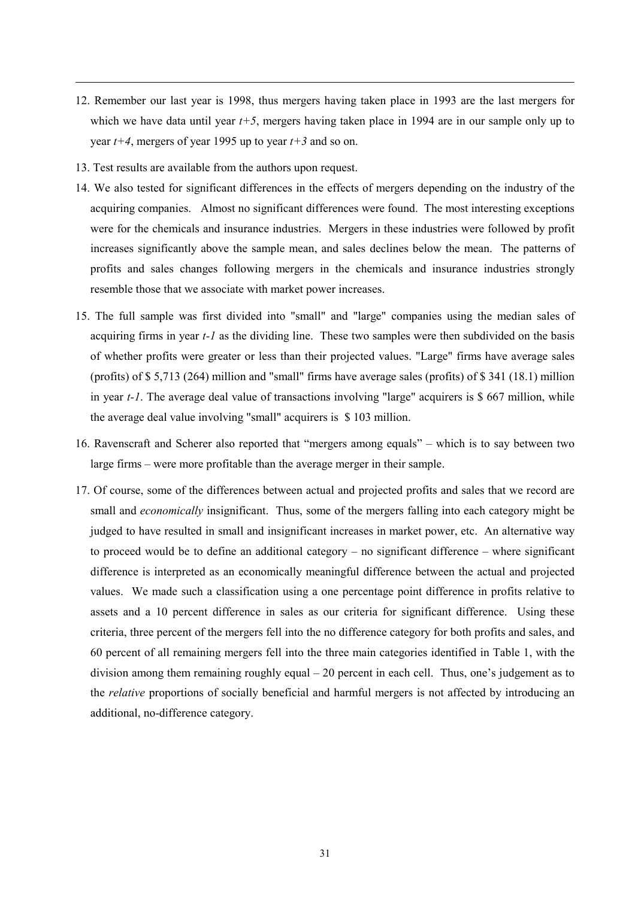- 12. Remember our last year is 1998, thus mergers having taken place in 1993 are the last mergers for which we have data until year  $t+5$ , mergers having taken place in 1994 are in our sample only up to year *t+4*, mergers of year 1995 up to year *t+3* and so on.
- 13. Test results are available from the authors upon request.

 $\overline{\phantom{a}}$ 

- 14. We also tested for significant differences in the effects of mergers depending on the industry of the acquiring companies. Almost no significant differences were found. The most interesting exceptions were for the chemicals and insurance industries. Mergers in these industries were followed by profit increases significantly above the sample mean, and sales declines below the mean. The patterns of profits and sales changes following mergers in the chemicals and insurance industries strongly resemble those that we associate with market power increases.
- 15. The full sample was first divided into "small" and "large" companies using the median sales of acquiring firms in year *t-1* as the dividing line. These two samples were then subdivided on the basis of whether profits were greater or less than their projected values. "Large" firms have average sales (profits) of \$ 5,713 (264) million and "small" firms have average sales (profits) of \$ 341 (18.1) million in year *t-1*. The average deal value of transactions involving "large" acquirers is \$ 667 million, while the average deal value involving "small" acquirers is \$ 103 million.
- 16. Ravenscraft and Scherer also reported that "mergers among equals" which is to say between two large firms – were more profitable than the average merger in their sample.
- 17. Of course, some of the differences between actual and projected profits and sales that we record are small and *economically* insignificant. Thus, some of the mergers falling into each category might be judged to have resulted in small and insignificant increases in market power, etc. An alternative way to proceed would be to define an additional category  $-$  no significant difference  $-$  where significant difference is interpreted as an economically meaningful difference between the actual and projected values. We made such a classification using a one percentage point difference in profits relative to assets and a 10 percent difference in sales as our criteria for significant difference. Using these criteria, three percent of the mergers fell into the no difference category for both profits and sales, and 60 percent of all remaining mergers fell into the three main categories identified in Table 1, with the division among them remaining roughly equal  $-20$  percent in each cell. Thus, one's judgement as to the *relative* proportions of socially beneficial and harmful mergers is not affected by introducing an additional, no-difference category.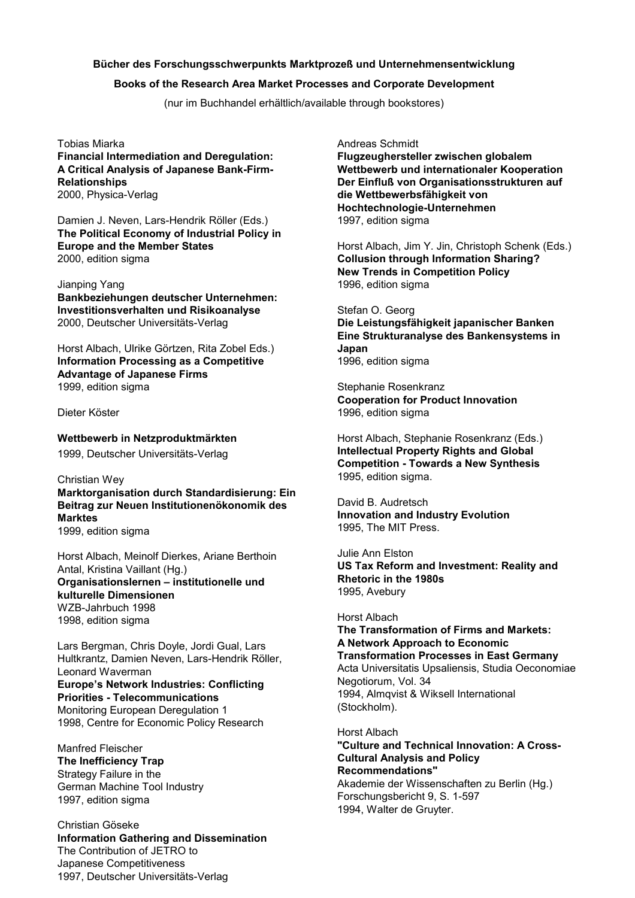#### **Bücher des Forschungsschwerpunkts Marktprozeß und Unternehmensentwicklung**

#### **Books of the Research Area Market Processes and Corporate Development**

(nur im Buchhandel erhältlich/available through bookstores)

Tobias Miarka

**Financial Intermediation and Deregulation: A Critical Analysis of Japanese Bank-Firm-Relationships**  2000, Physica-Verlag

Damien J. Neven, Lars-Hendrik Röller (Eds.) **The Political Economy of Industrial Policy in Europe and the Member States**  2000, edition sigma

Jianping Yang **Bankbeziehungen deutscher Unternehmen: Investitionsverhalten und Risikoanalyse** 

2000, Deutscher Universitäts-Verlag

Horst Albach, Ulrike Görtzen, Rita Zobel Eds.) **Information Processing as a Competitive Advantage of Japanese Firms**  1999, edition sigma

Dieter Köster

**Wettbewerb in Netzproduktm‰rkten** 

1999, Deutscher Universitäts-Verlag

Christian Wey **Marktorganisation durch Standardisierung: Ein Beitrag zur Neuen Institutionenˆkonomik des Marktes**  1999, edition sigma

Horst Albach, Meinolf Dierkes, Ariane Berthoin Antal, Kristina Vaillant (Hg.) **Organisationslernen - institutionelle und kulturelle Dimensionen**  WZB-Jahrbuch 1998 1998, edition sigma

Lars Bergman, Chris Doyle, Jordi Gual, Lars Hultkrantz, Damien Neven, Lars-Hendrik Röller, Leonard Waverman

**Europe's Network Industries: Conflicting Priorities - Telecommunications**  Monitoring European Deregulation 1

1998, Centre for Economic Policy Research

Manfred Fleischer **The Inefficiency Trap**  Strategy Failure in the German Machine Tool Industry 1997, edition sigma

Christian Göseke **Information Gathering and Dissemination**  The Contribution of JETRO to Japanese Competitiveness 1997, Deutscher Universitäts-Verlag

Andreas Schmidt **Flugzeughersteller zwischen globalem Wettbewerb und internationaler Kooperation Der Einflufl von Organisationsstrukturen auf**  die Wettbewerbsfähigkeit von **Hochtechnologie-Unternehmen**  1997, edition sigma

Horst Albach, Jim Y. Jin, Christoph Schenk (Eds.) **Collusion through Information Sharing? New Trends in Competition Policy**  1996, edition sigma

Stefan O. Georg Die Leistungsfähigkeit japanischer Banken **Eine Strukturanalyse des Bankensystems in Japan**  1996, edition sigma

Stephanie Rosenkranz **Cooperation for Product Innovation**  1996, edition sigma

Horst Albach, Stephanie Rosenkranz (Eds.) **Intellectual Property Rights and Global Competition - Towards a New Synthesis**  1995, edition sigma.

David B. Audretsch **Innovation and Industry Evolution**  1995, The MIT Press.

Julie Ann Elston **US Tax Reform and Investment: Reality and Rhetoric in the 1980s**  1995, Avebury

Horst Albach

**The Transformation of Firms and Markets: A Network Approach to Economic Transformation Processes in East Germany**  Acta Universitatis Upsaliensis, Studia Oeconomiae Negotiorum, Vol. 34 1994, Almqvist & Wiksell International (Stockholm).

Horst Albach **"Culture and Technical Innovation: A Cross-Cultural Analysis and Policy Recommendations"**  Akademie der Wissenschaften zu Berlin (Hg.) Forschungsbericht 9, S. 1-597 1994, Walter de Gruyter.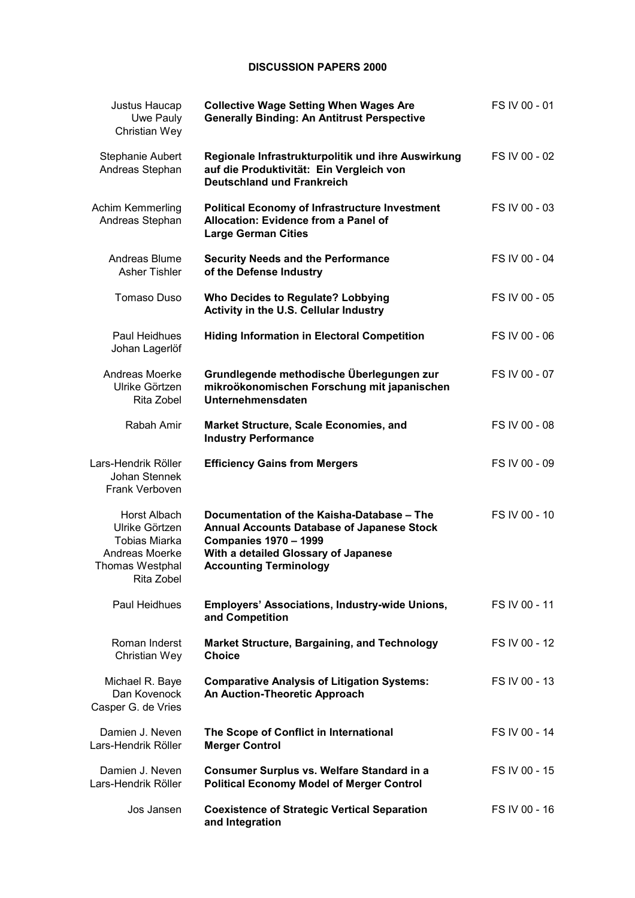| Justus Haucap<br>Uwe Pauly<br>Christian Wey                                                                      | <b>Collective Wage Setting When Wages Are</b><br><b>Generally Binding: An Antitrust Perspective</b>                                                                                                      | FS IV 00 - 01 |
|------------------------------------------------------------------------------------------------------------------|----------------------------------------------------------------------------------------------------------------------------------------------------------------------------------------------------------|---------------|
| Stephanie Aubert<br>Andreas Stephan                                                                              | Regionale Infrastrukturpolitik und ihre Auswirkung<br>auf die Produktivität: Ein Vergleich von<br><b>Deutschland und Frankreich</b>                                                                      | FS IV 00 - 02 |
| Achim Kemmerling<br>Andreas Stephan                                                                              | <b>Political Economy of Infrastructure Investment</b><br>Allocation: Evidence from a Panel of<br><b>Large German Cities</b>                                                                              | FS IV 00 - 03 |
| Andreas Blume<br><b>Asher Tishler</b>                                                                            | <b>Security Needs and the Performance</b><br>of the Defense Industry                                                                                                                                     | FS IV 00 - 04 |
| Tomaso Duso                                                                                                      | <b>Who Decides to Regulate? Lobbying</b><br>Activity in the U.S. Cellular Industry                                                                                                                       | FS IV 00 - 05 |
| Paul Heidhues<br>Johan Lagerlöf                                                                                  | <b>Hiding Information in Electoral Competition</b>                                                                                                                                                       | FS IV 00 - 06 |
| Andreas Moerke<br>Ulrike Görtzen<br>Rita Zobel                                                                   | Grundlegende methodische Überlegungen zur<br>mikroökonomischen Forschung mit japanischen<br>Unternehmensdaten                                                                                            | FS IV 00 - 07 |
| Rabah Amir                                                                                                       | Market Structure, Scale Economies, and<br><b>Industry Performance</b>                                                                                                                                    | FS IV 00 - 08 |
| Lars-Hendrik Röller<br>Johan Stennek<br>Frank Verboven                                                           | <b>Efficiency Gains from Mergers</b>                                                                                                                                                                     | FS IV 00 - 09 |
| Horst Albach<br>Ulrike Görtzen<br><b>Tobias Miarka</b><br>Andreas Moerke<br><b>Thomas Westphal</b><br>Rita Zobel | Documentation of the Kaisha-Database - The<br><b>Annual Accounts Database of Japanese Stock</b><br><b>Companies 1970 - 1999</b><br>With a detailed Glossary of Japanese<br><b>Accounting Terminology</b> | FS IV 00 - 10 |
| Paul Heidhues                                                                                                    | <b>Employers' Associations, Industry-wide Unions,</b><br>and Competition                                                                                                                                 | FS IV 00 - 11 |
| Roman Inderst<br>Christian Wey                                                                                   | <b>Market Structure, Bargaining, and Technology</b><br><b>Choice</b>                                                                                                                                     | FS IV 00 - 12 |
| Michael R. Baye<br>Dan Kovenock<br>Casper G. de Vries                                                            | <b>Comparative Analysis of Litigation Systems:</b><br>An Auction-Theoretic Approach                                                                                                                      | FS IV 00 - 13 |
| Damien J. Neven<br>Lars-Hendrik Röller                                                                           | The Scope of Conflict in International<br><b>Merger Control</b>                                                                                                                                          | FS IV 00 - 14 |
| Damien J. Neven<br>Lars-Hendrik Röller                                                                           | Consumer Surplus vs. Welfare Standard in a<br><b>Political Economy Model of Merger Control</b>                                                                                                           | FS IV 00 - 15 |
| Jos Jansen                                                                                                       | <b>Coexistence of Strategic Vertical Separation</b><br>and Integration                                                                                                                                   | FS IV 00 - 16 |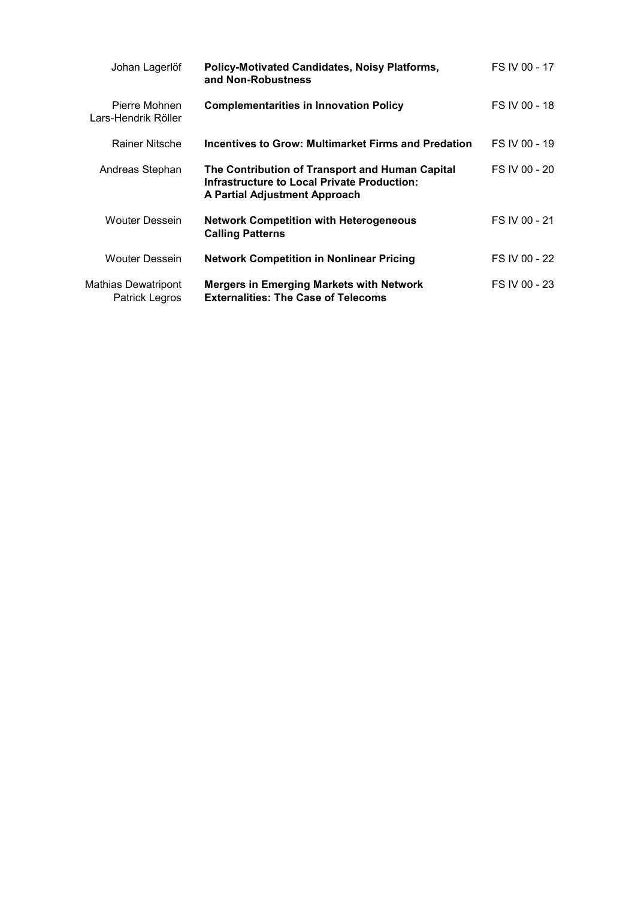| Johan Lagerlöf                               | <b>Policy-Motivated Candidates, Noisy Platforms,</b><br>and Non-Robustness                                                                    | FS IV 00 - 17 |
|----------------------------------------------|-----------------------------------------------------------------------------------------------------------------------------------------------|---------------|
| Pierre Mohnen<br>Lars-Hendrik Röller         | <b>Complementarities in Innovation Policy</b>                                                                                                 | FS IV 00 - 18 |
| Rainer Nitsche                               | <b>Incentives to Grow: Multimarket Firms and Predation</b>                                                                                    | FS IV 00 - 19 |
| Andreas Stephan                              | The Contribution of Transport and Human Capital<br><b>Infrastructure to Local Private Production:</b><br><b>A Partial Adjustment Approach</b> | FS IV 00 - 20 |
| <b>Wouter Dessein</b>                        | <b>Network Competition with Heterogeneous</b><br><b>Calling Patterns</b>                                                                      | FS IV 00 - 21 |
| <b>Wouter Dessein</b>                        | <b>Network Competition in Nonlinear Pricing</b>                                                                                               | FS IV 00 - 22 |
| <b>Mathias Dewatripont</b><br>Patrick Legros | <b>Mergers in Emerging Markets with Network</b><br><b>Externalities: The Case of Telecoms</b>                                                 | FS IV 00 - 23 |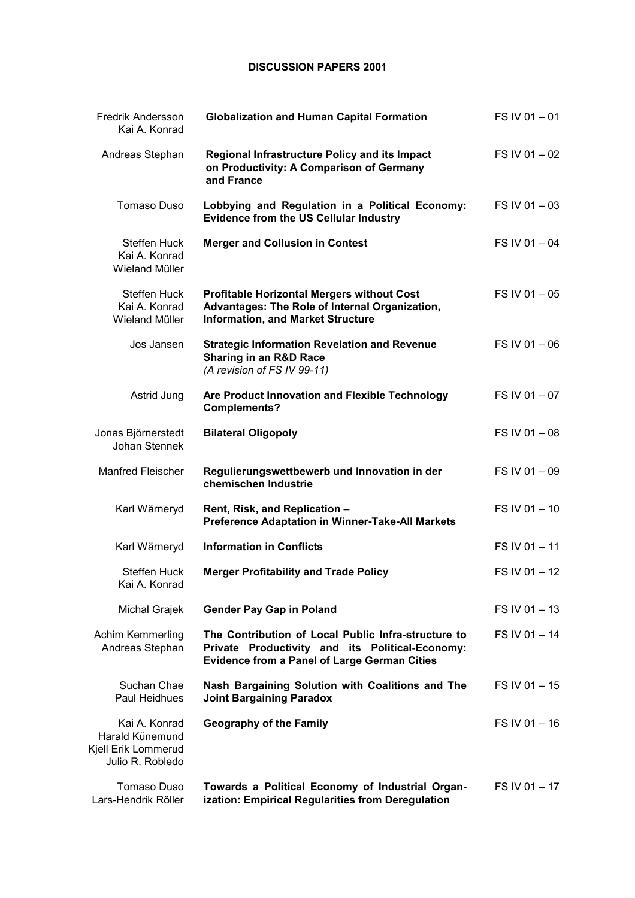# **DISCUSSION PAPERS 2001**

| <b>Fredrik Andersson</b><br>Kai A. Konrad                                   | <b>Globalization and Human Capital Formation</b>                                                                                                              | FS IV 01 - 01  |
|-----------------------------------------------------------------------------|---------------------------------------------------------------------------------------------------------------------------------------------------------------|----------------|
| Andreas Stephan                                                             | Regional Infrastructure Policy and its Impact<br>on Productivity: A Comparison of Germany<br>and France                                                       | FS IV 01 - 02  |
| Tomaso Duso                                                                 | Lobbying and Regulation in a Political Economy:<br><b>Evidence from the US Cellular Industry</b>                                                              | FS IV 01 $-03$ |
| <b>Steffen Huck</b><br>Kai A. Konrad<br>Wieland Müller                      | <b>Merger and Collusion in Contest</b>                                                                                                                        | FS IV 01 - 04  |
| <b>Steffen Huck</b><br>Kai A. Konrad<br>Wieland Müller                      | <b>Profitable Horizontal Mergers without Cost</b><br>Advantages: The Role of Internal Organization,<br><b>Information, and Market Structure</b>               | FS IV 01 - 05  |
| Jos Jansen                                                                  | <b>Strategic Information Revelation and Revenue</b><br><b>Sharing in an R&amp;D Race</b><br>(A revision of FS IV 99-11)                                       | FS IV 01 $-06$ |
| Astrid Jung                                                                 | Are Product Innovation and Flexible Technology<br><b>Complements?</b>                                                                                         | FS IV 01 - 07  |
| Jonas Björnerstedt<br>Johan Stennek                                         | <b>Bilateral Oligopoly</b>                                                                                                                                    | FS IV 01 - 08  |
| <b>Manfred Fleischer</b>                                                    | Regulierungswettbewerb und Innovation in der<br>chemischen Industrie                                                                                          | FS IV 01 - 09  |
| Karl Wärneryd                                                               | Rent, Risk, and Replication -<br>Preference Adaptation in Winner-Take-All Markets                                                                             | FS IV 01 - 10  |
| Karl Wärneryd                                                               | <b>Information in Conflicts</b>                                                                                                                               | FS IV 01 - 11  |
| <b>Steffen Huck</b><br>Kai A. Konrad                                        | <b>Merger Profitability and Trade Policy</b>                                                                                                                  | FS IV 01 - 12  |
| Michal Grajek                                                               | <b>Gender Pay Gap in Poland</b>                                                                                                                               | FS IV 01 - 13  |
| Achim Kemmerling<br>Andreas Stephan                                         | The Contribution of Local Public Infra-structure to<br>Private Productivity and its Political-Economy:<br><b>Evidence from a Panel of Large German Cities</b> | FS IV 01 - 14  |
| Suchan Chae<br>Paul Heidhues                                                | Nash Bargaining Solution with Coalitions and The<br><b>Joint Bargaining Paradox</b>                                                                           | FS IV 01 - 15  |
| Kai A. Konrad<br>Harald Künemund<br>Kjell Erik Lommerud<br>Julio R. Robledo | <b>Geography of the Family</b>                                                                                                                                | FS IV 01 - 16  |
| Tomaso Duso<br>Lars-Hendrik Röller                                          | Towards a Political Economy of Industrial Organ-<br>ization: Empirical Regularities from Deregulation                                                         | FS IV 01 - 17  |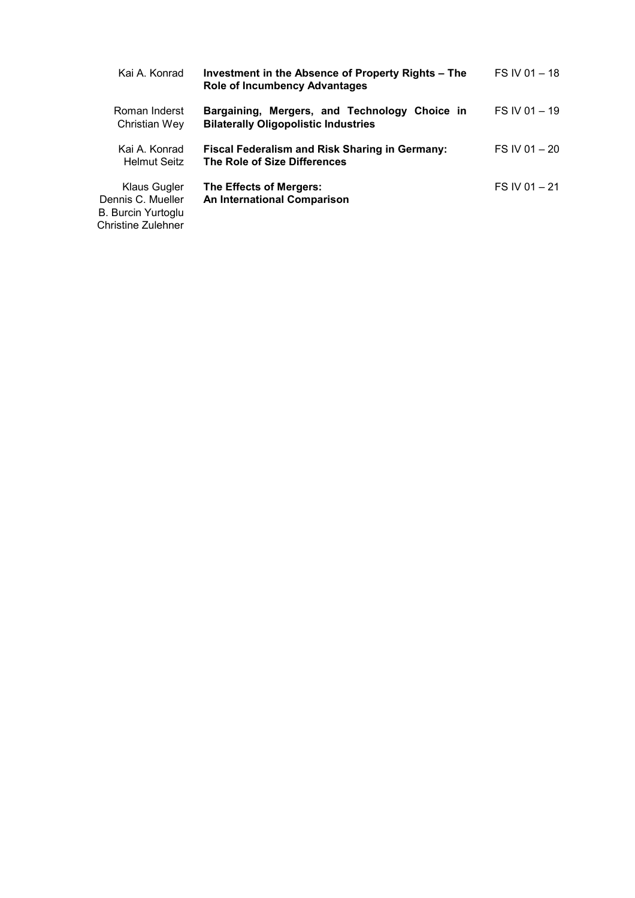| Kai A. Konrad                                                                                      | Investment in the Absence of Property Rights - The<br><b>Role of Incumbency Advantages</b>   | FS IV 01 $-$ 18 |
|----------------------------------------------------------------------------------------------------|----------------------------------------------------------------------------------------------|-----------------|
| Roman Inderst<br>Christian Wey                                                                     | Bargaining, Mergers, and Technology Choice in<br><b>Bilaterally Oligopolistic Industries</b> | FS IV 01 $-$ 19 |
| Kai A. Konrad<br><b>Helmut Seitz</b>                                                               | <b>Fiscal Federalism and Risk Sharing in Germany:</b><br>The Role of Size Differences        | FS IV 01 $-$ 20 |
| <b>Klaus Gugler</b><br>Dennis C. Mueller<br><b>B. Burcin Yurtoglu</b><br><b>Christine Zulehner</b> | The Effects of Mergers:<br><b>An International Comparison</b>                                | FS IV 01 $-21$  |